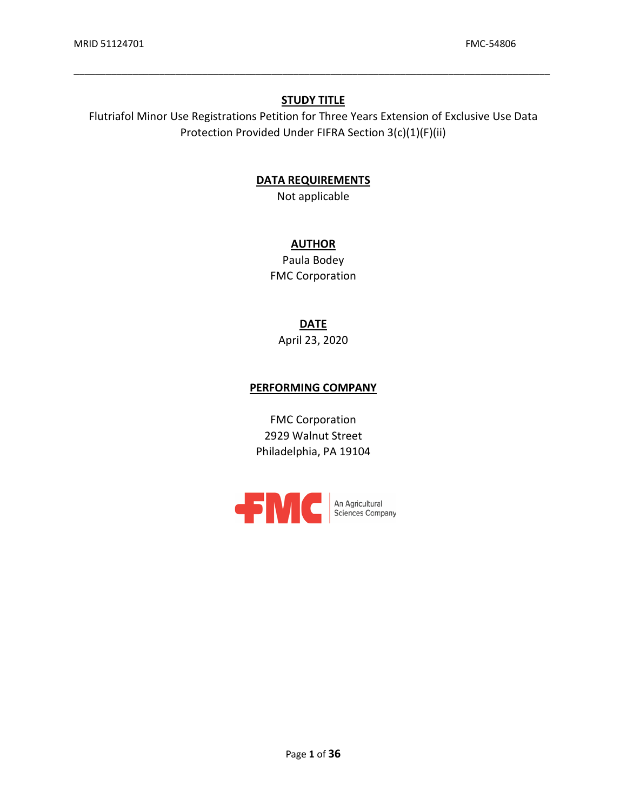## **STUDY TITLE**

\_\_\_\_\_\_\_\_\_\_\_\_\_\_\_\_\_\_\_\_\_\_\_\_\_\_\_\_\_\_\_\_\_\_\_\_\_\_\_\_\_\_\_\_\_\_\_\_\_\_\_\_\_\_\_\_\_\_\_\_\_\_\_\_\_\_\_\_\_\_\_\_\_\_\_\_\_\_\_\_\_\_\_\_\_\_\_\_\_

 Flutriafol Minor Use Registrations Petition for Three Years Extension of Exclusive Use Data Protection Provided Under FIFRA Section 3(c)(1)(F)(ii)

## **DATA REQUIREMENTS**

Not applicable

# **AUTHOR**

Paula Bodey FMC Corporation

**DATE** 

April 23, 2020

## **PERFORMING COMPANY**

FMC Corporation 2929 Walnut Street Philadelphia, PA 19104

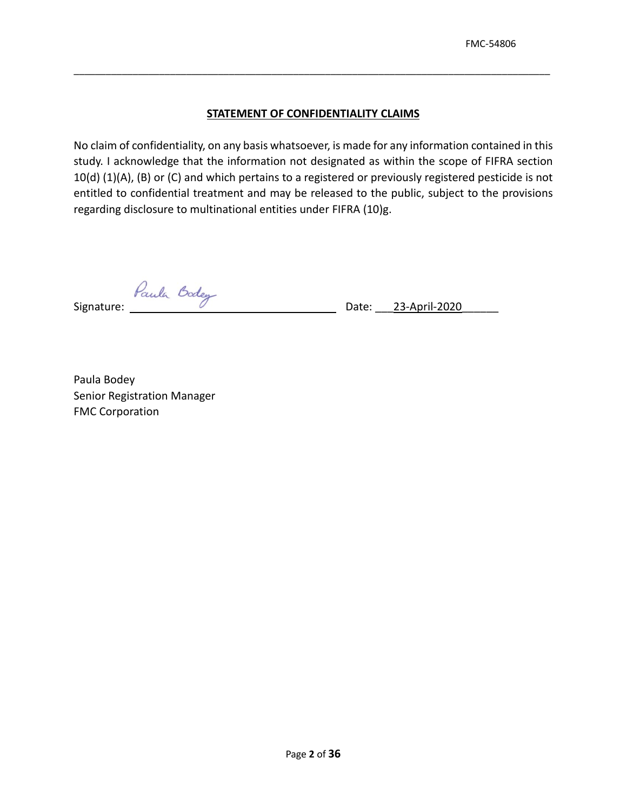### **STATEMENT OF CONFIDENTIALITY CLAIMS**

\_\_\_\_\_\_\_\_\_\_\_\_\_\_\_\_\_\_\_\_\_\_\_\_\_\_\_\_\_\_\_\_\_\_\_\_\_\_\_\_\_\_\_\_\_\_\_\_\_\_\_\_\_\_\_\_\_\_\_\_\_\_\_\_\_\_\_\_\_\_\_\_\_\_\_\_\_\_\_\_\_\_\_\_\_\_\_\_\_

 No claim of confidentiality, on any basis whatsoever, is made for any information contained in this entitled to confidential treatment and may be released to the public, subject to the provisions study. I acknowledge that the information not designated as within the scope of FIFRA section 10(d) (1)(A), (B) or (C) and which pertains to a registered or previously registered pesticide is not regarding disclosure to multinational entities under FIFRA (10)g.

Signature: *Paula* Date: 23-April-2020

Paula Bodey Senior Registration Manager FMC Corporation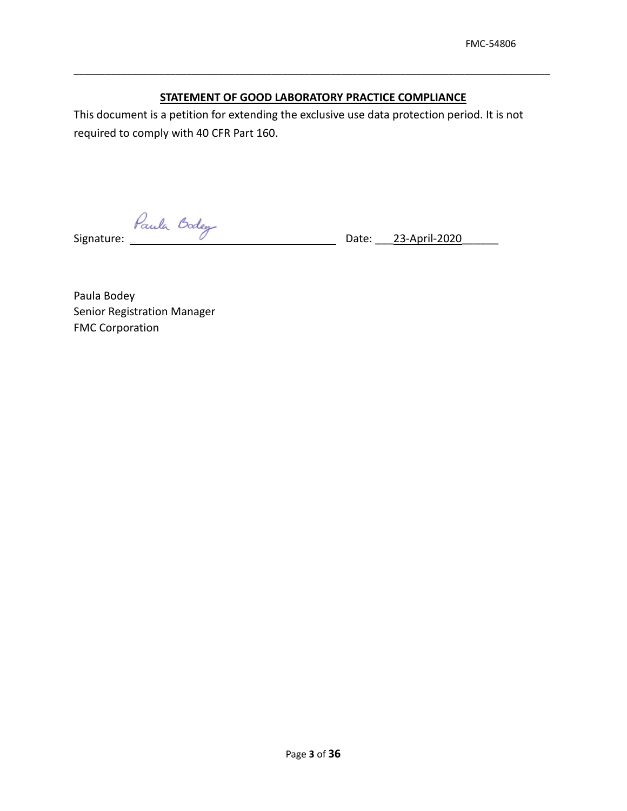# **STATEMENT OF GOOD LABORATORY PRACTICE COMPLIANCE**

\_\_\_\_\_\_\_\_\_\_\_\_\_\_\_\_\_\_\_\_\_\_\_\_\_\_\_\_\_\_\_\_\_\_\_\_\_\_\_\_\_\_\_\_\_\_\_\_\_\_\_\_\_\_\_\_\_\_\_\_\_\_\_\_\_\_\_\_\_\_\_\_\_\_\_\_\_\_\_\_\_\_\_\_\_\_\_\_\_

 required to comply with 40 CFR Part 160. This document is a petition for extending the exclusive use data protection period. It is not

Signature: *Paule* 

Date: 23-April-2020

Paula Bodey Senior Registration Manager FMC Corporation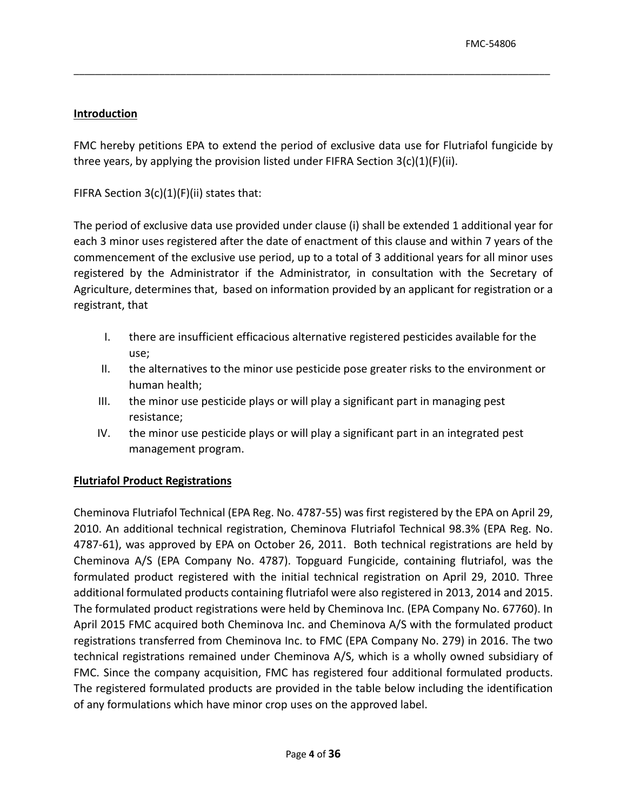# **Introduction**

 FMC hereby petitions EPA to extend the period of exclusive data use for Flutriafol fungicide by three years, by applying the provision listed under FIFRA Section 3(c)(1)(F)(ii).

\_\_\_\_\_\_\_\_\_\_\_\_\_\_\_\_\_\_\_\_\_\_\_\_\_\_\_\_\_\_\_\_\_\_\_\_\_\_\_\_\_\_\_\_\_\_\_\_\_\_\_\_\_\_\_\_\_\_\_\_\_\_\_\_\_\_\_\_\_\_\_\_\_\_\_\_\_\_\_\_\_\_\_\_\_\_\_\_\_

FIFRA Section  $3(c)(1)(F)(ii)$  states that:

 The period of exclusive data use provided under clause (i) shall be extended 1 additional year for each 3 minor uses registered after the date of enactment of this clause and within 7 years of the Agriculture, determines that, based on information provided by an applicant for registration or a commencement of the exclusive use period, up to a total of 3 additional years for all minor uses registered by the Administrator if the Administrator, in consultation with the Secretary of registrant, that

- I. there are insufficient efficacious alternative registered pesticides available for the use;
- II. the alternatives to the minor use pesticide pose greater risks to the environment or human health;
- III. the minor use pesticide plays or will play a significant part in managing pest resistance;
- IV. the minor use pesticide plays or will play a significant part in an integrated pest management program.

# **Flutriafol Product Registrations**

 Cheminova Flutriafol Technical (EPA Reg. No. 4787-55) was first registered by the EPA on April 29, Cheminova A/S (EPA Company No. 4787). Topguard Fungicide, containing flutriafol, was the formulated product registered with the initial technical registration on April 29, 2010. Three registrations transferred from Cheminova Inc. to FMC (EPA Company No. 279) in 2016. The two The registered formulated products are provided in the table below including the identification of any formulations which have minor crop uses on the approved label. 2010. An additional technical registration, Cheminova Flutriafol Technical 98.3% (EPA Reg. No. 4787-61), was approved by EPA on October 26, 2011. Both technical registrations are held by additional formulated products containing flutriafol were also registered in 2013, 2014 and 2015. The formulated product registrations were held by Cheminova Inc. (EPA Company No. 67760). In April 2015 FMC acquired both Cheminova Inc. and Cheminova A/S with the formulated product technical registrations remained under Cheminova A/S, which is a wholly owned subsidiary of FMC. Since the company acquisition, FMC has registered four additional formulated products.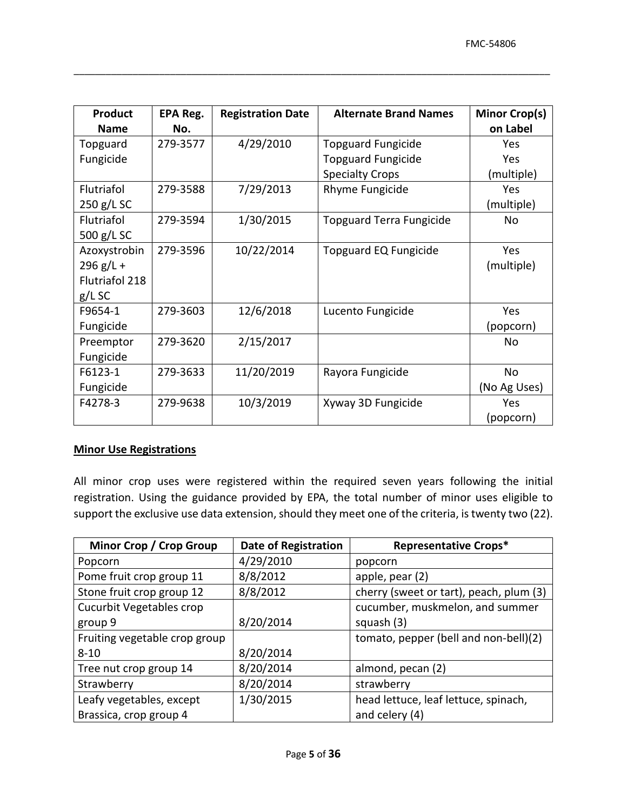| <b>Product</b><br><b>Name</b> | EPA Reg.<br>No. | <b>Registration Date</b> | <b>Alternate Brand Names</b>    | Minor Crop(s)<br>on Label |
|-------------------------------|-----------------|--------------------------|---------------------------------|---------------------------|
| Topguard                      | 279-3577        | 4/29/2010                | <b>Topguard Fungicide</b>       | Yes                       |
| Fungicide                     |                 |                          | <b>Topguard Fungicide</b>       | Yes                       |
|                               |                 |                          | <b>Specialty Crops</b>          | (multiple)                |
| Flutriafol                    | 279-3588        | 7/29/2013                | Rhyme Fungicide                 | Yes                       |
| 250 g/L SC                    |                 |                          |                                 | (multiple)                |
| Flutriafol                    | 279-3594        | 1/30/2015                | <b>Topguard Terra Fungicide</b> | No                        |
| 500 g/L SC                    |                 |                          |                                 |                           |
| Azoxystrobin                  | 279-3596        | 10/22/2014               | <b>Topguard EQ Fungicide</b>    | Yes                       |
| $296 g/L +$                   |                 |                          |                                 | (multiple)                |
| Flutriafol 218                |                 |                          |                                 |                           |
| $g/L$ SC                      |                 |                          |                                 |                           |
| F9654-1                       | 279-3603        | 12/6/2018                | Lucento Fungicide               | Yes                       |
| Fungicide                     |                 |                          |                                 | (popcorn)                 |
| Preemptor                     | 279-3620        | 2/15/2017                |                                 | No                        |
| Fungicide                     |                 |                          |                                 |                           |
| F6123-1                       | 279-3633        | 11/20/2019               | Rayora Fungicide                | No                        |
| Fungicide                     |                 |                          |                                 | (No Ag Uses)              |
| F4278-3                       | 279-9638        | 10/3/2019                | Xyway 3D Fungicide              | Yes                       |
|                               |                 |                          |                                 | (popcorn)                 |

### **Minor Use Registrations**

 All minor crop uses were registered within the required seven years following the initial registration. Using the guidance provided by EPA, the total number of minor uses eligible to support the exclusive use data extension, should they meet one of the criteria, is twenty two (22).

| <b>Minor Crop / Crop Group</b> | <b>Date of Registration</b> | <b>Representative Crops*</b>            |
|--------------------------------|-----------------------------|-----------------------------------------|
| Popcorn                        | 4/29/2010                   | popcorn                                 |
| Pome fruit crop group 11       | 8/8/2012                    | apple, pear (2)                         |
| Stone fruit crop group 12      | 8/8/2012                    | cherry (sweet or tart), peach, plum (3) |
| Cucurbit Vegetables crop       |                             | cucumber, muskmelon, and summer         |
| group 9                        | 8/20/2014                   | squash (3)                              |
| Fruiting vegetable crop group  |                             | tomato, pepper (bell and non-bell)(2)   |
| $8 - 10$                       | 8/20/2014                   |                                         |
| Tree nut crop group 14         | 8/20/2014                   | almond, pecan (2)                       |
| Strawberry                     | 8/20/2014                   | strawberry                              |
| Leafy vegetables, except       | 1/30/2015                   | head lettuce, leaf lettuce, spinach,    |
| Brassica, crop group 4         |                             | and celery (4)                          |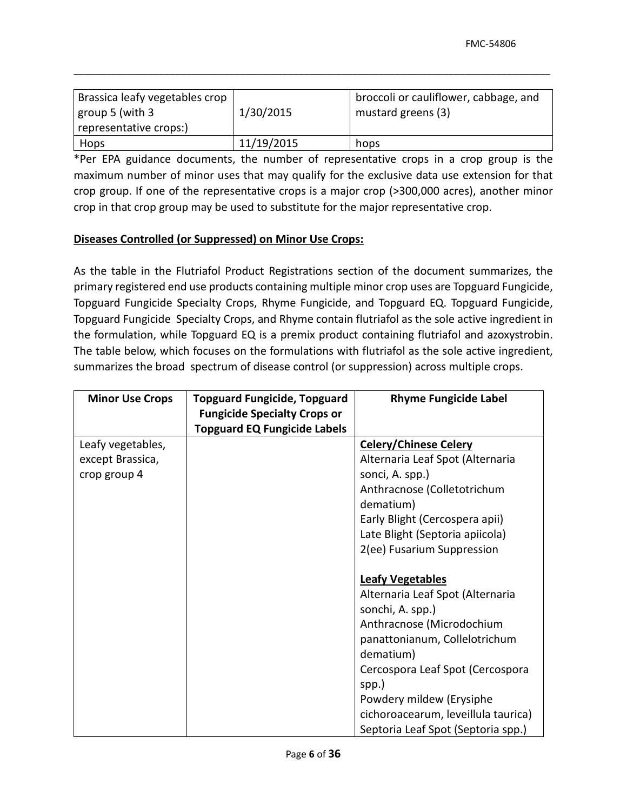| Brassica leafy vegetables crop<br>$\vert$ group 5 (with 3<br>representative crops:) | 1/30/2015  | broccoli or cauliflower, cabbage, and<br>mustard greens (3) |
|-------------------------------------------------------------------------------------|------------|-------------------------------------------------------------|
| Hops                                                                                | 11/19/2015 | hops                                                        |

 maximum number of minor uses that may qualify for the exclusive data use extension for that crop in that crop group may be used to substitute for the major representative crop. \*Per EPA guidance documents, the number of representative crops in a crop group is the crop group. If one of the representative crops is a major crop (>300,000 acres), another minor

# **Diseases Controlled (or Suppressed) on Minor Use Crops:**

the formulation, while Topguard EQ is a premix product containing flutriafol and azoxystrobin. As the table in the Flutriafol Product Registrations section of the document summarizes, the primary registered end use products containing multiple minor crop uses are Topguard Fungicide, Topguard Fungicide Specialty Crops, Rhyme Fungicide, and Topguard EQ. Topguard Fungicide, Topguard Fungicide Specialty Crops, and Rhyme contain flutriafol as the sole active ingredient in The table below, which focuses on the formulations with flutriafol as the sole active ingredient, summarizes the broad spectrum of disease control (or suppression) across multiple crops.

| <b>Minor Use Crops</b> | <b>Topguard Fungicide, Topguard</b> | <b>Rhyme Fungicide Label</b>        |
|------------------------|-------------------------------------|-------------------------------------|
|                        | <b>Fungicide Specialty Crops or</b> |                                     |
|                        | <b>Topguard EQ Fungicide Labels</b> |                                     |
| Leafy vegetables,      |                                     | <b>Celery/Chinese Celery</b>        |
| except Brassica,       |                                     | Alternaria Leaf Spot (Alternaria    |
| crop group 4           |                                     | sonci, A. spp.)                     |
|                        |                                     | Anthracnose (Colletotrichum         |
|                        |                                     | dematium)                           |
|                        |                                     | Early Blight (Cercospera apii)      |
|                        |                                     | Late Blight (Septoria apiicola)     |
|                        |                                     | 2(ee) Fusarium Suppression          |
|                        |                                     |                                     |
|                        |                                     | <b>Leafy Vegetables</b>             |
|                        |                                     | Alternaria Leaf Spot (Alternaria    |
|                        |                                     | sonchi, A. spp.)                    |
|                        |                                     | Anthracnose (Microdochium           |
|                        |                                     | panattonianum, Collelotrichum       |
|                        |                                     | dematium)                           |
|                        |                                     | Cercospora Leaf Spot (Cercospora    |
|                        |                                     | spp.)                               |
|                        |                                     | Powdery mildew (Erysiphe            |
|                        |                                     | cichoroacearum, leveillula taurica) |
|                        |                                     | Septoria Leaf Spot (Septoria spp.)  |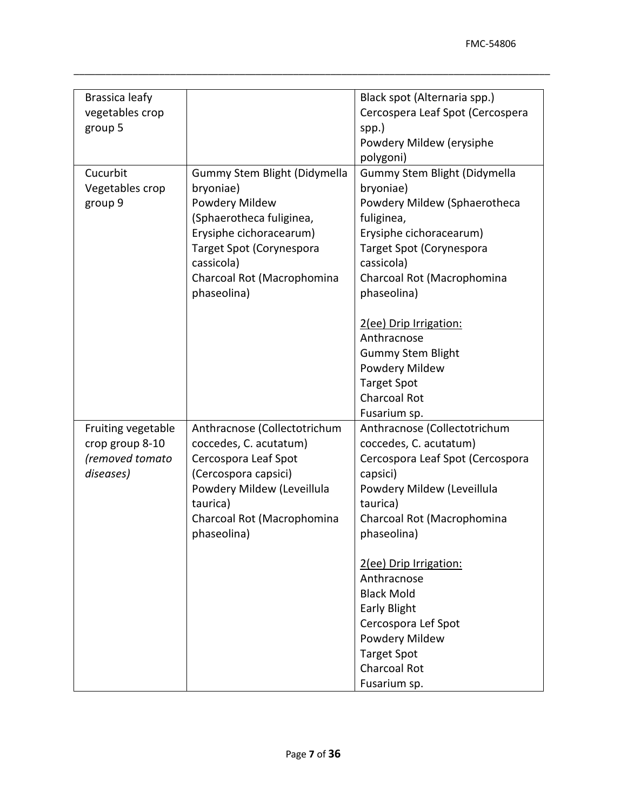| Brassica leafy<br>vegetables crop<br>group 5                          |                                                                                                                                                                                                                  | Black spot (Alternaria spp.)<br>Cercospera Leaf Spot (Cercospera<br>spp.)<br>Powdery Mildew (erysiphe<br>polygoni)                                                                                                                                                                                                                                                                       |
|-----------------------------------------------------------------------|------------------------------------------------------------------------------------------------------------------------------------------------------------------------------------------------------------------|------------------------------------------------------------------------------------------------------------------------------------------------------------------------------------------------------------------------------------------------------------------------------------------------------------------------------------------------------------------------------------------|
| Cucurbit<br>Vegetables crop<br>group 9                                | Gummy Stem Blight (Didymella<br>bryoniae)<br>Powdery Mildew<br>(Sphaerotheca fuliginea,<br>Erysiphe cichoracearum)<br><b>Target Spot (Corynespora</b><br>cassicola)<br>Charcoal Rot (Macrophomina<br>phaseolina) | Gummy Stem Blight (Didymella<br>bryoniae)<br>Powdery Mildew (Sphaerotheca<br>fuliginea,<br>Erysiphe cichoracearum)<br><b>Target Spot (Corynespora</b><br>cassicola)<br>Charcoal Rot (Macrophomina<br>phaseolina)<br>2(ee) Drip Irrigation:<br>Anthracnose<br><b>Gummy Stem Blight</b><br>Powdery Mildew<br><b>Target Spot</b><br><b>Charcoal Rot</b><br>Fusarium sp.                     |
| Fruiting vegetable<br>crop group 8-10<br>(removed tomato<br>diseases) | Anthracnose (Collectotrichum<br>coccedes, C. acutatum)<br>Cercospora Leaf Spot<br>(Cercospora capsici)<br>Powdery Mildew (Leveillula<br>taurica)<br>Charcoal Rot (Macrophomina<br>phaseolina)                    | Anthracnose (Collectotrichum<br>coccedes, C. acutatum)<br>Cercospora Leaf Spot (Cercospora<br>capsici)<br>Powdery Mildew (Leveillula<br>taurica)<br>Charcoal Rot (Macrophomina<br>phaseolina)<br>2(ee) Drip Irrigation:<br>Anthracnose<br><b>Black Mold</b><br><b>Early Blight</b><br>Cercospora Lef Spot<br>Powdery Mildew<br><b>Target Spot</b><br><b>Charcoal Rot</b><br>Fusarium sp. |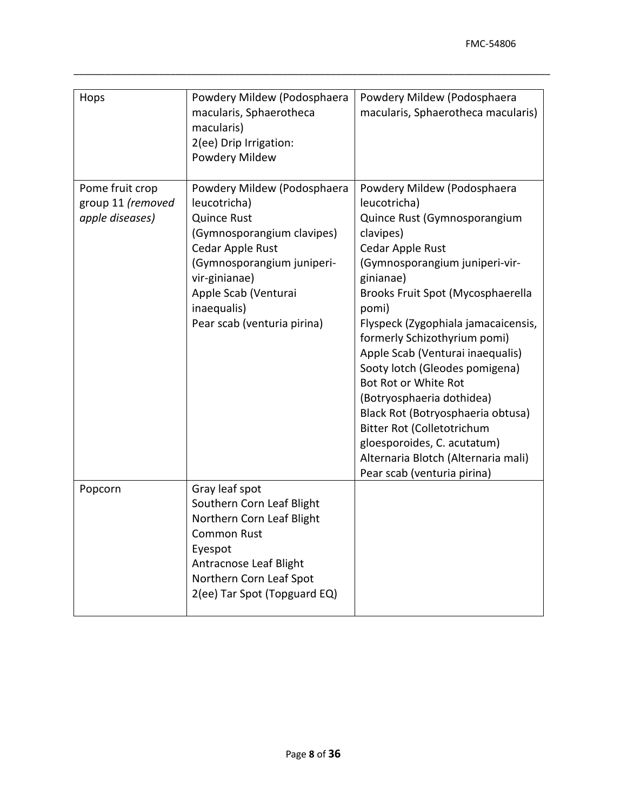| Hops                                                    | Powdery Mildew (Podosphaera<br>macularis, Sphaerotheca<br>macularis)<br>2(ee) Drip Irrigation:<br>Powdery Mildew                                                                                                                         | Powdery Mildew (Podosphaera<br>macularis, Sphaerotheca macularis)                                                                                                                                                                                                                                                                                                                                                                                                                                                                                                                   |
|---------------------------------------------------------|------------------------------------------------------------------------------------------------------------------------------------------------------------------------------------------------------------------------------------------|-------------------------------------------------------------------------------------------------------------------------------------------------------------------------------------------------------------------------------------------------------------------------------------------------------------------------------------------------------------------------------------------------------------------------------------------------------------------------------------------------------------------------------------------------------------------------------------|
| Pome fruit crop<br>group 11 (removed<br>apple diseases) | Powdery Mildew (Podosphaera<br>leucotricha)<br><b>Quince Rust</b><br>(Gymnosporangium clavipes)<br>Cedar Apple Rust<br>(Gymnosporangium juniperi-<br>vir-ginianae)<br>Apple Scab (Venturai<br>inaequalis)<br>Pear scab (venturia pirina) | Powdery Mildew (Podosphaera<br>leucotricha)<br>Quince Rust (Gymnosporangium<br>clavipes)<br>Cedar Apple Rust<br>(Gymnosporangium juniperi-vir-<br>ginianae)<br>Brooks Fruit Spot (Mycosphaerella<br>pomi)<br>Flyspeck (Zygophiala jamacaicensis,<br>formerly Schizothyrium pomi)<br>Apple Scab (Venturai inaequalis)<br>Sooty lotch (Gleodes pomigena)<br>Bot Rot or White Rot<br>(Botryosphaeria dothidea)<br>Black Rot (Botryosphaeria obtusa)<br>Bitter Rot (Colletotrichum<br>gloesporoides, C. acutatum)<br>Alternaria Blotch (Alternaria mali)<br>Pear scab (venturia pirina) |
| Popcorn                                                 | Gray leaf spot<br>Southern Corn Leaf Blight<br>Northern Corn Leaf Blight<br><b>Common Rust</b><br>Eyespot<br>Antracnose Leaf Blight<br>Northern Corn Leaf Spot<br>2(ee) Tar Spot (Topguard EQ)                                           |                                                                                                                                                                                                                                                                                                                                                                                                                                                                                                                                                                                     |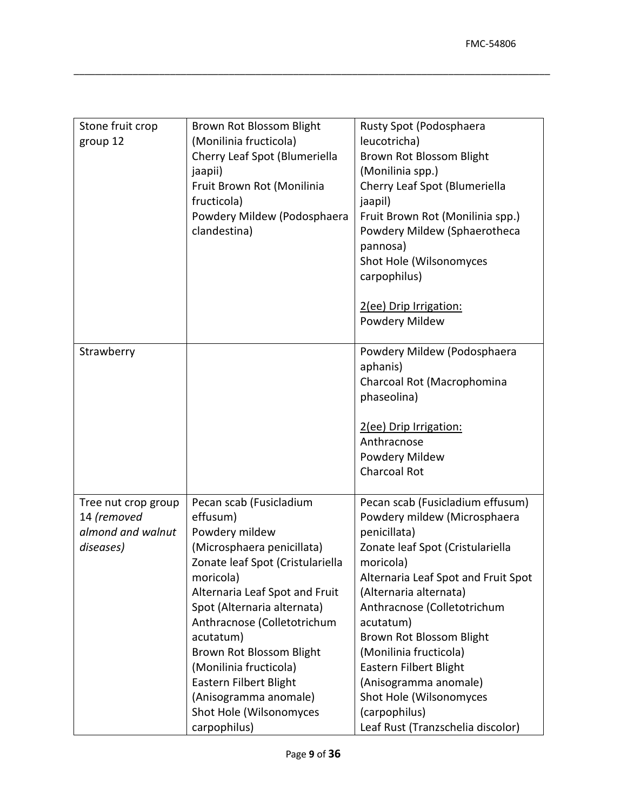| Stone fruit crop<br>group 12                                         | Brown Rot Blossom Blight<br>(Monilinia fructicola)<br>Cherry Leaf Spot (Blumeriella<br>jaapii)<br>Fruit Brown Rot (Monilinia<br>fructicola)<br>Powdery Mildew (Podosphaera<br>clandestina)                                                                                                                                                                                                            | Rusty Spot (Podosphaera<br>leucotricha)<br>Brown Rot Blossom Blight<br>(Monilinia spp.)<br>Cherry Leaf Spot (Blumeriella<br>jaapil)<br>Fruit Brown Rot (Monilinia spp.)<br>Powdery Mildew (Sphaerotheca<br>pannosa)<br>Shot Hole (Wilsonomyces<br>carpophilus)                                                                                                                                                                           |
|----------------------------------------------------------------------|-------------------------------------------------------------------------------------------------------------------------------------------------------------------------------------------------------------------------------------------------------------------------------------------------------------------------------------------------------------------------------------------------------|------------------------------------------------------------------------------------------------------------------------------------------------------------------------------------------------------------------------------------------------------------------------------------------------------------------------------------------------------------------------------------------------------------------------------------------|
|                                                                      |                                                                                                                                                                                                                                                                                                                                                                                                       | 2(ee) Drip Irrigation:<br>Powdery Mildew                                                                                                                                                                                                                                                                                                                                                                                                 |
| Strawberry                                                           |                                                                                                                                                                                                                                                                                                                                                                                                       | Powdery Mildew (Podosphaera<br>aphanis)<br>Charcoal Rot (Macrophomina<br>phaseolina)<br>2(ee) Drip Irrigation:<br>Anthracnose<br>Powdery Mildew<br><b>Charcoal Rot</b>                                                                                                                                                                                                                                                                   |
| Tree nut crop group<br>14 (removed<br>almond and walnut<br>diseases) | Pecan scab (Fusicladium<br>effusum)<br>Powdery mildew<br>(Microsphaera penicillata)<br>Zonate leaf Spot (Cristulariella<br>moricola)<br>Alternaria Leaf Spot and Fruit<br>Spot (Alternaria alternata)<br>Anthracnose (Colletotrichum<br>acutatum)<br>Brown Rot Blossom Blight<br>(Monilinia fructicola)<br>Eastern Filbert Blight<br>(Anisogramma anomale)<br>Shot Hole (Wilsonomyces<br>carpophilus) | Pecan scab (Fusicladium effusum)<br>Powdery mildew (Microsphaera<br>penicillata)<br>Zonate leaf Spot (Cristulariella<br>moricola)<br>Alternaria Leaf Spot and Fruit Spot<br>(Alternaria alternata)<br>Anthracnose (Colletotrichum<br>acutatum)<br>Brown Rot Blossom Blight<br>(Monilinia fructicola)<br>Eastern Filbert Blight<br>(Anisogramma anomale)<br>Shot Hole (Wilsonomyces<br>(carpophilus)<br>Leaf Rust (Tranzschelia discolor) |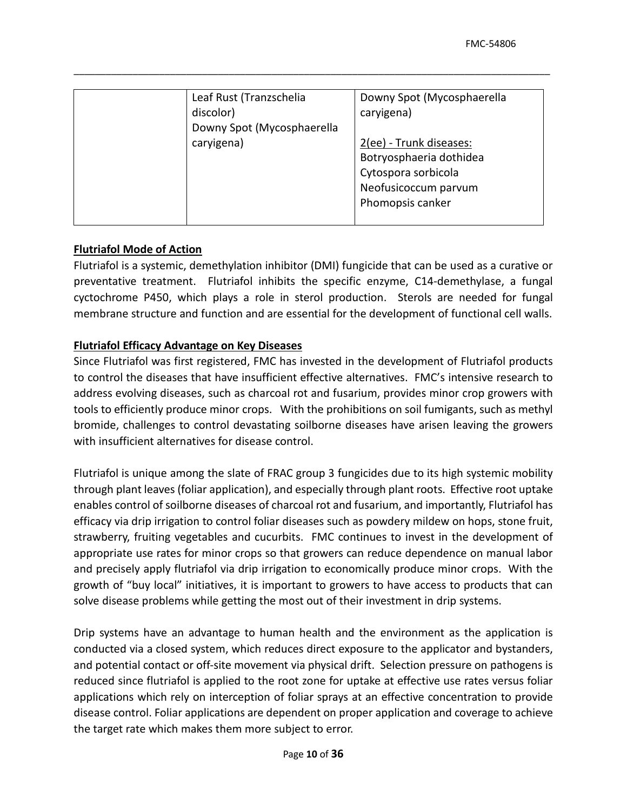| Leaf Rust (Tranzschelia                 | Downy Spot (Mycosphaerella |
|-----------------------------------------|----------------------------|
| discolor)<br>Downy Spot (Mycosphaerella | caryigena)                 |
| caryigena)                              | 2(ee) - Trunk diseases:    |
|                                         | Botryosphaeria dothidea    |
|                                         | Cytospora sorbicola        |
|                                         | Neofusicoccum parvum       |
|                                         | Phomopsis canker           |
|                                         |                            |

## **Flutriafol Mode of Action**

 cyctochrome P450, which plays a role in sterol production. Sterols are needed for fungal Flutriafol is a systemic, demethylation inhibitor (DMI) fungicide that can be used as a curative or preventative treatment. Flutriafol inhibits the specific enzyme, C14-demethylase, a fungal membrane structure and function and are essential for the development of functional cell walls.

## **Flutriafol Efficacy Advantage on Key Diseases**

 to control the diseases that have insufficient effective alternatives. FMC's intensive research to tools to efficiently produce minor crops. With the prohibitions on soil fumigants, such as methyl bromide, challenges to control devastating soilborne diseases have arisen leaving the growers Since Flutriafol was first registered, FMC has invested in the development of Flutriafol products address evolving diseases, such as charcoal rot and fusarium, provides minor crop growers with with insufficient alternatives for disease control.

 Flutriafol is unique among the slate of FRAC group 3 fungicides due to its high systemic mobility through plant leaves (foliar application), and especially through plant roots. Effective root uptake enables control of soilborne diseases of charcoal rot and fusarium, and importantly, Flutriafol has efficacy via drip irrigation to control foliar diseases such as powdery mildew on hops, stone fruit, strawberry, fruiting vegetables and cucurbits. FMC continues to invest in the development of and precisely apply flutriafol via drip irrigation to economically produce minor crops. With the growth of "buy local" initiatives, it is important to growers to have access to products that can solve disease problems while getting the most out of their investment in drip systems. appropriate use rates for minor crops so that growers can reduce dependence on manual labor

 conducted via a closed system, which reduces direct exposure to the applicator and bystanders, applications which rely on interception of foliar sprays at an effective concentration to provide Drip systems have an advantage to human health and the environment as the application is and potential contact or off-site movement via physical drift. Selection pressure on pathogens is reduced since flutriafol is applied to the root zone for uptake at effective use rates versus foliar disease control. Foliar applications are dependent on proper application and coverage to achieve the target rate which makes them more subject to error.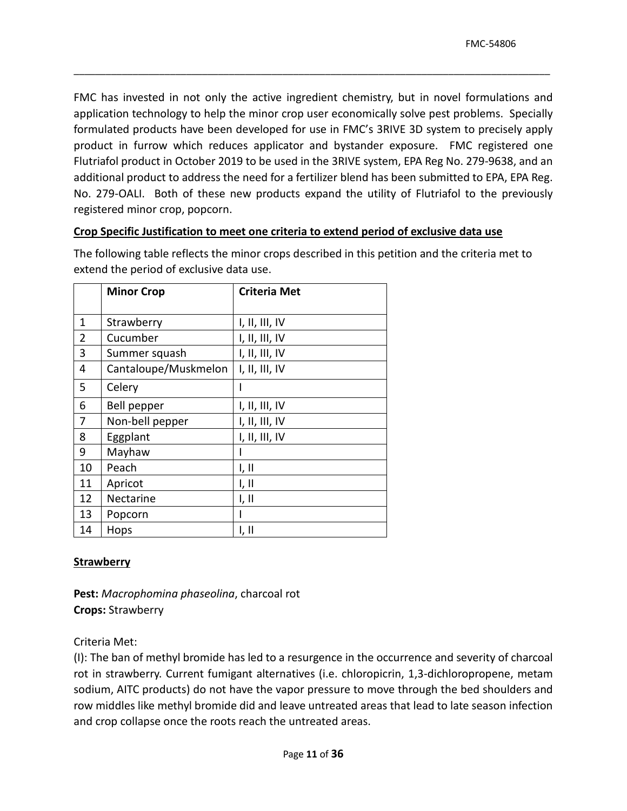product in furrow which reduces applicator and bystander exposure. FMC registered one No. 279-OALI. Both of these new products expand the utility of Flutriafol to the previously registered minor crop, popcorn. FMC has invested in not only the active ingredient chemistry, but in novel formulations and application technology to help the minor crop user economically solve pest problems. Specially formulated products have been developed for use in FMC's 3RIVE 3D system to precisely apply Flutriafol product in October 2019 to be used in the 3RIVE system, EPA Reg No. 279-9638, and an additional product to address the need for a fertilizer blend has been submitted to EPA, EPA Reg.

\_\_\_\_\_\_\_\_\_\_\_\_\_\_\_\_\_\_\_\_\_\_\_\_\_\_\_\_\_\_\_\_\_\_\_\_\_\_\_\_\_\_\_\_\_\_\_\_\_\_\_\_\_\_\_\_\_\_\_\_\_\_\_\_\_\_\_\_\_\_\_\_\_\_\_\_\_\_\_\_\_\_\_\_\_\_\_\_\_

## **Crop Specific Justification to meet one criteria to extend period of exclusive data use**

 The following table reflects the minor crops described in this petition and the criteria met to extend the period of exclusive data use.

|    | <b>Minor Crop</b>    | <b>Criteria Met</b> |
|----|----------------------|---------------------|
|    |                      |                     |
| 1  | Strawberry           | I, II, III, IV      |
| 2  | Cucumber             | I, II, III, IV      |
| 3  | Summer squash        | I, II, III, IV      |
| 4  | Cantaloupe/Muskmelon | I, II, III, IV      |
| 5  | Celery               |                     |
| 6  | Bell pepper          | I, II, III, IV      |
| 7  | Non-bell pepper      | I, II, III, IV      |
| 8  | Eggplant             | I, II, III, IV      |
| 9  | Mayhaw               |                     |
| 10 | Peach                | 1, II               |
| 11 | Apricot              | I, II               |
| 12 | Nectarine            | I, II               |
| 13 | Popcorn              |                     |
| 14 | Hops                 | I, II               |

# **Strawberry**

 **Crops:** Strawberry **Pest:** *Macrophomina phaseolina*, charcoal rot

Criteria Met:

 (I): The ban of methyl bromide has led to a resurgence in the occurrence and severity of charcoal sodium, AITC products) do not have the vapor pressure to move through the bed shoulders and rot in strawberry. Current fumigant alternatives (i.e. chloropicrin, 1,3-dichloropropene, metam row middles like methyl bromide did and leave untreated areas that lead to late season infection and crop collapse once the roots reach the untreated areas.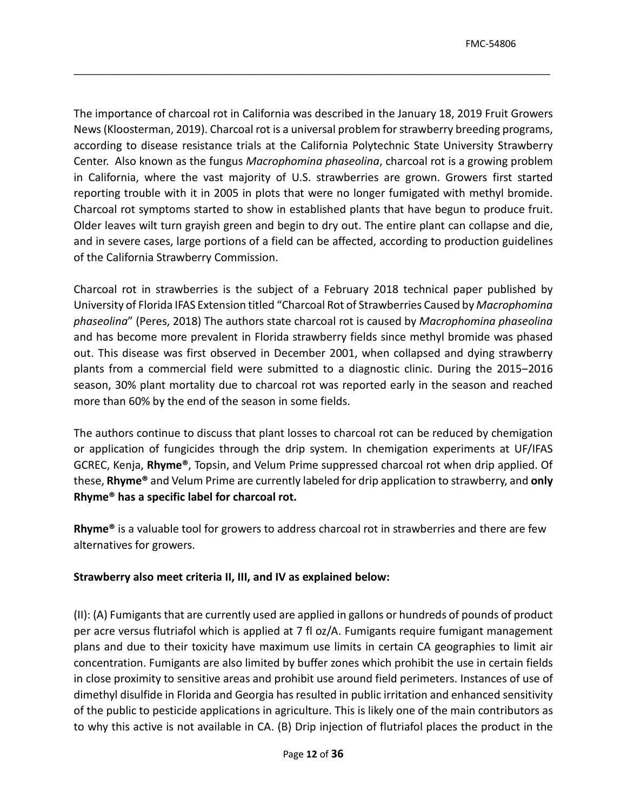The importance of charcoal rot in California was described in the January 18, 2019 Fruit Growers Center. Also known as the fungus *Macrophomina phaseolina*, charcoal rot is a growing problem reporting trouble with it in 2005 in plots that were no longer fumigated with methyl bromide. Charcoal rot symptoms started to show in established plants that have begun to produce fruit. Older leaves wilt turn grayish green and begin to dry out. The entire plant can collapse and die, and in severe cases, large portions of a field can be affected, according t[o production guidelines](https://www.calstrawberry.com/Portals/2/Reports/Research%20Reports/Production%20Guidelines/English/Charcoal%20Rot%20of%20Strawberry%20-%202013.pdf?ver=2018-01-12-155447-970)  News (Kloosterman, 2019). Charcoal rot is a universal problem for strawberry breeding programs, according to disease resistance trials at the California Polytechnic State University Strawberry in California, where the vast majority of U.S. strawberries are grown. Growers first started [of the California Strawberry Commission.](https://www.calstrawberry.com/Portals/2/Reports/Research%20Reports/Production%20Guidelines/English/Charcoal%20Rot%20of%20Strawberry%20-%202013.pdf?ver=2018-01-12-155447-970)

\_\_\_\_\_\_\_\_\_\_\_\_\_\_\_\_\_\_\_\_\_\_\_\_\_\_\_\_\_\_\_\_\_\_\_\_\_\_\_\_\_\_\_\_\_\_\_\_\_\_\_\_\_\_\_\_\_\_\_\_\_\_\_\_\_\_\_\_\_\_\_\_\_\_\_\_\_\_\_\_\_\_\_\_\_\_\_\_\_

 University of Florida IFAS Extension titled "Charcoal Rot of Strawberries Caused by *Macrophomina phaseolina*" (Peres, 2018) The authors state charcoal rot is caused by *Macrophomina phaseolina*  plants from a commercial field were submitted to a diagnostic clinic. During the 2015-2016 season, 30% plant mortality due to charcoal rot was reported early in the season and reached more than 60% by the end of the season in some fields. Charcoal rot in strawberries is the subject of a February 2018 technical paper published by and has become more prevalent in Florida strawberry fields since methyl bromide was phased out. This disease was first observed in December 2001, when collapsed and dying strawberry

 The authors continue to discuss that plant losses to charcoal rot can be reduced by chemigation or application of fungicides through the drip system. In chemigation experiments at UF/IFAS Rhyme<sup>®</sup> has a specific label for charcoal rot. GCREC, Kenja, **Rhyme®**, Topsin, and Velum Prime suppressed charcoal rot when drip applied. Of these, **Rhyme®** and Velum Prime are currently labeled for drip application to strawberry, and **only** 

**Rhyme<sup>®</sup>** is a valuable tool for growers to address charcoal rot in strawberries and there are few alternatives for growers.

# **Strawberry also meet criteria II, III, and IV as explained below:**

 plans and due to their toxicity have maximum use limits in certain CA geographies to limit air concentration. Fumigants are also limited by buffer zones which prohibit the use in certain fields in close proximity to sensitive areas and prohibit use around field perimeters. Instances of use of of the public to pesticide applications in agriculture. This is likely one of the main contributors as to why this active is not available in CA. (B) Drip injection of flutriafol places the product in the (II): (A) Fumigants that are currently used are applied in gallons or hundreds of pounds of product per acre versus flutriafol which is applied at 7 fl oz/A. Fumigants require fumigant management dimethyl disulfide in Florida and Georgia has resulted in public irritation and enhanced sensitivity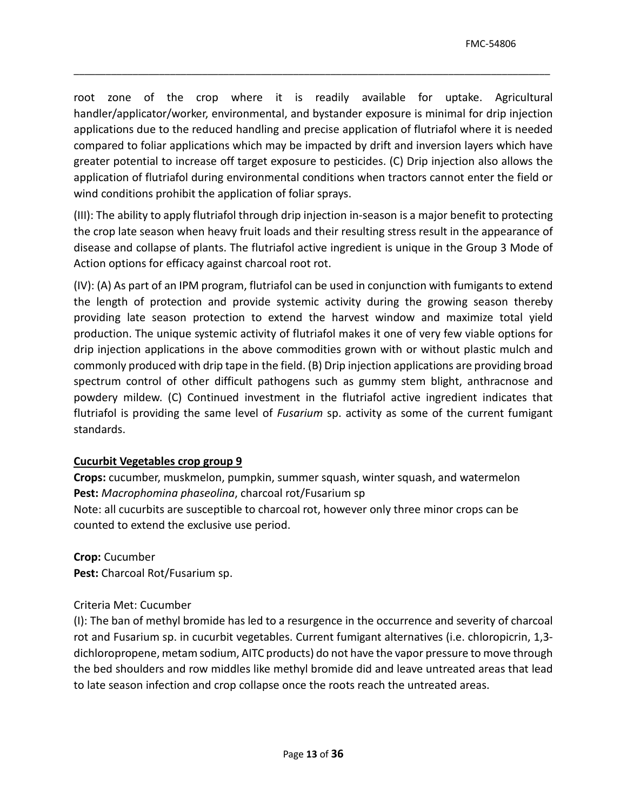root zone of the crop where it is readily available for uptake. Agricultural applications due to the reduced handling and precise application of flutriafol where it is needed compared to foliar applications which may be impacted by drift and inversion layers which have greater potential to increase off target exposure to pesticides. (C) Drip injection also allows the application of flutriafol during environmental conditions when tractors cannot enter the field or wind conditions prohibit the application of foliar sprays. handler/applicator/worker, environmental, and bystander exposure is minimal for drip injection

\_\_\_\_\_\_\_\_\_\_\_\_\_\_\_\_\_\_\_\_\_\_\_\_\_\_\_\_\_\_\_\_\_\_\_\_\_\_\_\_\_\_\_\_\_\_\_\_\_\_\_\_\_\_\_\_\_\_\_\_\_\_\_\_\_\_\_\_\_\_\_\_\_\_\_\_\_\_\_\_\_\_\_\_\_\_\_\_\_

 (III): The ability to apply flutriafol through drip injection in-season is a major benefit to protecting the crop late season when heavy fruit loads and their resulting stress result in the appearance of disease and collapse of plants. The flutriafol active ingredient is unique in the Group 3 Mode of Action options for efficacy against charcoal root rot.

 (IV): (A) As part of an IPM program, flutriafol can be used in conjunction with fumigants to extend production. The unique systemic activity of flutriafol makes it one of very few viable options for commonly produced with drip tape in the field. (B) Drip injection applications are providing broad powdery mildew. (C) Continued investment in the flutriafol active ingredient indicates that flutriafol is providing the same level of *Fusarium* sp. activity as some of the current fumigant the length of protection and provide systemic activity during the growing season thereby providing late season protection to extend the harvest window and maximize total yield drip injection applications in the above commodities grown with or without plastic mulch and spectrum control of other difficult pathogens such as gummy stem blight, anthracnose and standards.

# **Cucurbit Vegetables crop group 9**

**Crops:** cucumber, muskmelon, pumpkin, summer squash, winter squash, and watermelon **Pest:** *Macrophomina phaseolina*, charcoal rot/Fusarium sp Note: all cucurbits are susceptible to charcoal rot, however only three minor crops can be counted to extend the exclusive use period.

**Crop:** Cucumber **Pest:** Charcoal Rot/Fusarium sp.

# Criteria Met: Cucumber

 (I): The ban of methyl bromide has led to a resurgence in the occurrence and severity of charcoal dichloropropene, metam sodium, AITC products) do not have the vapor pressure to move through the bed shoulders and row middles like methyl bromide did and leave untreated areas that lead to late season infection and crop collapse once the roots reach the untreated areas. rot and Fusarium sp. in cucurbit vegetables. Current fumigant alternatives (i.e. chloropicrin, 1,3-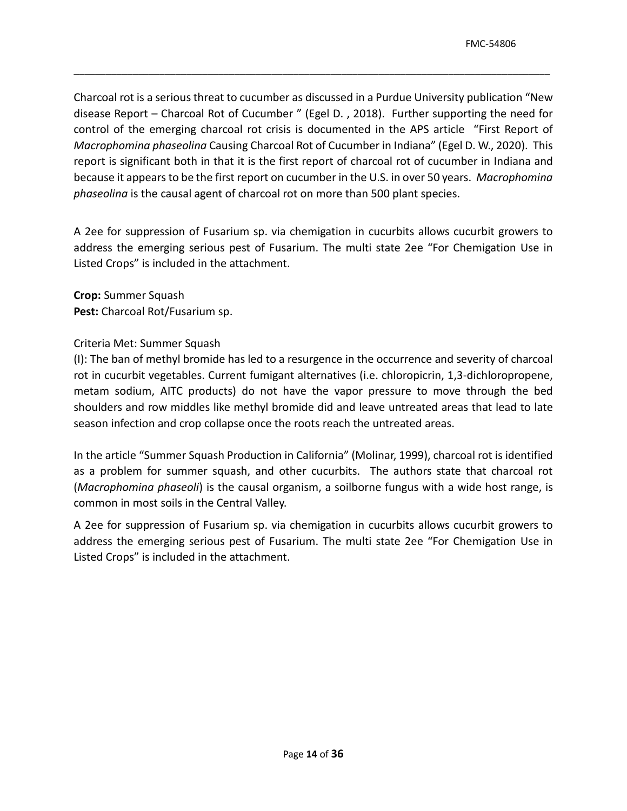disease Report – Charcoal Rot of Cucumber " (Egel D. , 2018). Further supporting the need for report is significant both in that it is the first report of charcoal rot of cucumber in Indiana and because it appears to be the first report on cucumber in the U.S. in over 50 years. *Macrophomina phaseolina* is the causal agent of charcoal rot on more than 500 plant species. Charcoal rot is a serious threat to cucumber as discussed in a Purdue University publication "New control of the emerging charcoal rot crisis is documented in the APS article "First Report of *Macrophomina phaseolina* Causing Charcoal Rot of Cucumber in Indiana" (Egel D. W., 2020). This

\_\_\_\_\_\_\_\_\_\_\_\_\_\_\_\_\_\_\_\_\_\_\_\_\_\_\_\_\_\_\_\_\_\_\_\_\_\_\_\_\_\_\_\_\_\_\_\_\_\_\_\_\_\_\_\_\_\_\_\_\_\_\_\_\_\_\_\_\_\_\_\_\_\_\_\_\_\_\_\_\_\_\_\_\_\_\_\_\_

A 2ee for suppression of Fusarium sp. via chemigation in cucurbits allows cucurbit growers to address the emerging serious pest of Fusarium. The multi state 2ee "For Chemigation Use in Listed Crops" is included in the attachment.

**Crop:** Summer Squash **Pest:** Charcoal Rot/Fusarium sp.

## Criteria Met: Summer Squash

 (I): The ban of methyl bromide has led to a resurgence in the occurrence and severity of charcoal metam sodium, AITC products) do not have the vapor pressure to move through the bed season infection and crop collapse once the roots reach the untreated areas. rot in cucurbit vegetables. Current fumigant alternatives (i.e. chloropicrin, 1,3-dichloropropene, shoulders and row middles like methyl bromide did and leave untreated areas that lead to late

 (*Macrophomina phaseoli*) is the causal organism, a soilborne fungus with a wide host range, is In the article "Summer Squash Production in California" (Molinar, 1999), charcoal rot is identified as a problem for summer squash, and other cucurbits. The authors state that charcoal rot common in most soils in the Central Valley.

A 2ee for suppression of Fusarium sp. via chemigation in cucurbits allows cucurbit growers to address the emerging serious pest of Fusarium. The multi state 2ee "For Chemigation Use in Listed Crops" is included in the attachment.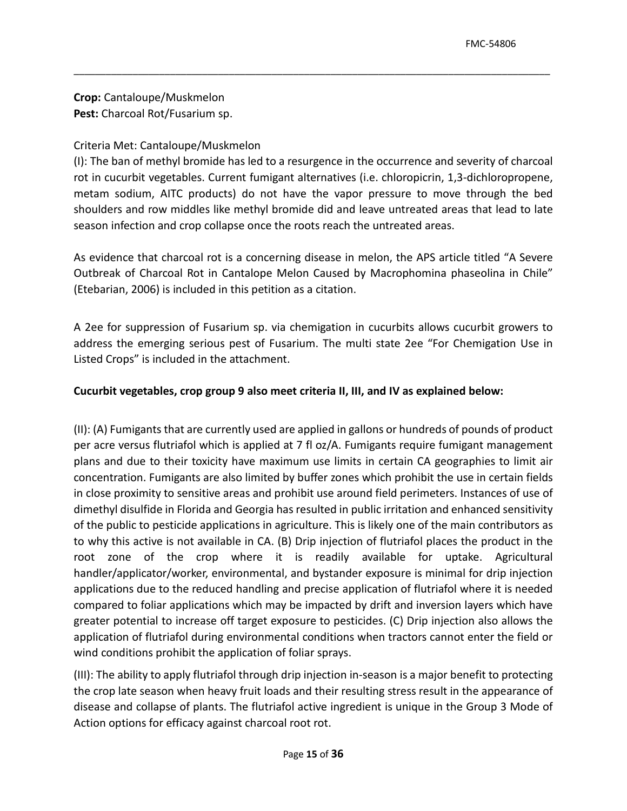**Crop:** Cantaloupe/Muskmelon **Pest:** Charcoal Rot/Fusarium sp.

# Criteria Met: Cantaloupe/Muskmelon

 (I): The ban of methyl bromide has led to a resurgence in the occurrence and severity of charcoal metam sodium, AITC products) do not have the vapor pressure to move through the bed season infection and crop collapse once the roots reach the untreated areas. rot in cucurbit vegetables. Current fumigant alternatives (i.e. chloropicrin, 1,3-dichloropropene, shoulders and row middles like methyl bromide did and leave untreated areas that lead to late

\_\_\_\_\_\_\_\_\_\_\_\_\_\_\_\_\_\_\_\_\_\_\_\_\_\_\_\_\_\_\_\_\_\_\_\_\_\_\_\_\_\_\_\_\_\_\_\_\_\_\_\_\_\_\_\_\_\_\_\_\_\_\_\_\_\_\_\_\_\_\_\_\_\_\_\_\_\_\_\_\_\_\_\_\_\_\_\_\_

As evidence that charcoal rot is a concerning disease in melon, the APS article titled "A Severe Outbreak of Charcoal Rot in Cantalope Melon Caused by Macrophomina phaseolina in Chile" (Etebarian, 2006) is included in this petition as a citation.

A 2ee for suppression of Fusarium sp. via chemigation in cucurbits allows cucurbit growers to address the emerging serious pest of Fusarium. The multi state 2ee "For Chemigation Use in Listed Crops" is included in the attachment.

# **Cucurbit vegetables, crop group 9 also meet criteria II, III, and IV as explained below:**

 plans and due to their toxicity have maximum use limits in certain CA geographies to limit air concentration. Fumigants are also limited by buffer zones which prohibit the use in certain fields in close proximity to sensitive areas and prohibit use around field perimeters. Instances of use of of the public to pesticide applications in agriculture. This is likely one of the main contributors as to why this active is not available in CA. (B) Drip injection of flutriafol places the product in the root zone of the crop where it is readily available for uptake. Agricultural applications due to the reduced handling and precise application of flutriafol where it is needed compared to foliar applications which may be impacted by drift and inversion layers which have greater potential to increase off target exposure to pesticides. (C) Drip injection also allows the application of flutriafol during environmental conditions when tractors cannot enter the field or wind conditions prohibit the application of foliar sprays. (II): (A) Fumigants that are currently used are applied in gallons or hundreds of pounds of product per acre versus flutriafol which is applied at 7 fl oz/A. Fumigants require fumigant management dimethyl disulfide in Florida and Georgia has resulted in public irritation and enhanced sensitivity handler/applicator/worker, environmental, and bystander exposure is minimal for drip injection

 (III): The ability to apply flutriafol through drip injection in-season is a major benefit to protecting the crop late season when heavy fruit loads and their resulting stress result in the appearance of disease and collapse of plants. The flutriafol active ingredient is unique in the Group 3 Mode of Action options for efficacy against charcoal root rot.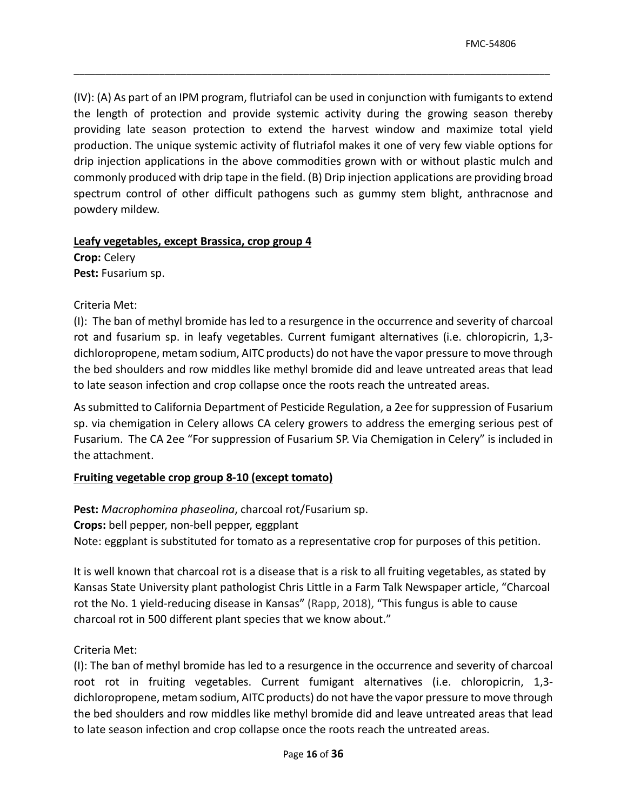(IV): (A) As part of an IPM program, flutriafol can be used in conjunction with fumigants to extend production. The unique systemic activity of flutriafol makes it one of very few viable options for commonly produced with drip tape in the field. (B) Drip injection applications are providing broad the length of protection and provide systemic activity during the growing season thereby providing late season protection to extend the harvest window and maximize total yield drip injection applications in the above commodities grown with or without plastic mulch and spectrum control of other difficult pathogens such as gummy stem blight, anthracnose and powdery mildew.

\_\_\_\_\_\_\_\_\_\_\_\_\_\_\_\_\_\_\_\_\_\_\_\_\_\_\_\_\_\_\_\_\_\_\_\_\_\_\_\_\_\_\_\_\_\_\_\_\_\_\_\_\_\_\_\_\_\_\_\_\_\_\_\_\_\_\_\_\_\_\_\_\_\_\_\_\_\_\_\_\_\_\_\_\_\_\_\_\_

# **Leafy vegetables, except Brassica, crop group 4**

 **Crop:** Celery **Pest:** Fusarium sp.

Criteria Met:

 (I): The ban of methyl bromide has led to a resurgence in the occurrence and severity of charcoal rot and fusarium sp. in leafy vegetables. Current fumigant alternatives (i.e. chloropicrin, 1,3- dichloropropene, metam sodium, AITC products) do not have the vapor pressure to move through the bed shoulders and row middles like methyl bromide did and leave untreated areas that lead to late season infection and crop collapse once the roots reach the untreated areas.

 Fusarium. The CA 2ee "For suppression of Fusarium SP. Via Chemigation in Celery" is included in As submitted to California Department of Pesticide Regulation, a 2ee for suppression of Fusarium sp. via chemigation in Celery allows CA celery growers to address the emerging serious pest of the attachment.

# **Fruiting vegetable crop group 8-10 (except tomato)**

Crops: bell pepper, non-bell pepper, eggplant **Crops:** bell pepper, non-bell pepper, eggplant<br>Note: eggplant is substituted for tomato as a representative crop for purposes of this petition. **Pest:** *Macrophomina phaseolina*, charcoal rot/Fusarium sp.

 It is well known that charcoal rot is a disease that is a risk to all fruiting vegetables, as stated by Kansas State University plant pathologist Chris Little in a Farm Talk Newspaper article, "Charcoal rot the No. 1 yield-reducing disease in Kansas" (Rapp, 2018), "This fungus is able to cause charcoal rot in 500 different plant species that we know about."

Criteria Met:

 (I): The ban of methyl bromide has led to a resurgence in the occurrence and severity of charcoal dichloropropene, metam sodium, AITC products) do not have the vapor pressure to move through the bed shoulders and row middles like methyl bromide did and leave untreated areas that lead to late season infection and crop collapse once the roots reach the untreated areas. root rot in fruiting vegetables. Current fumigant alternatives (i.e. chloropicrin, 1,3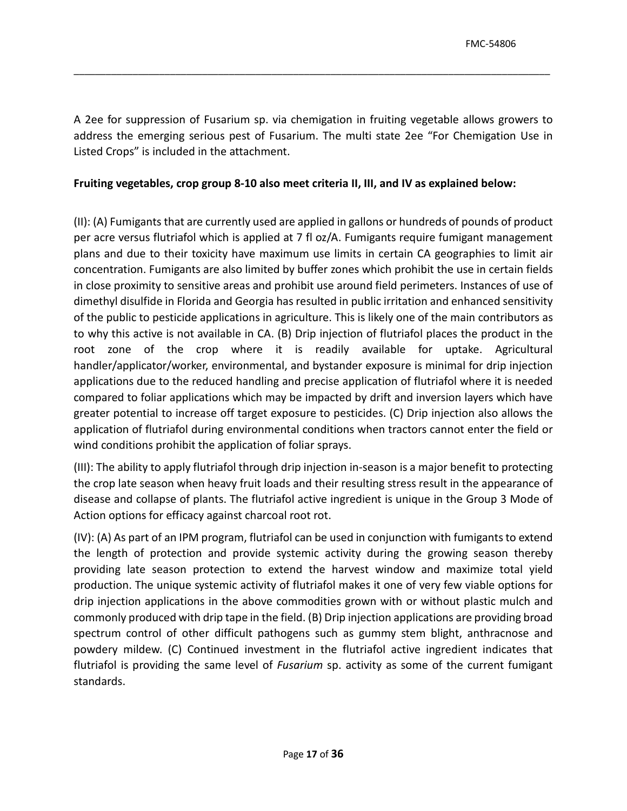A 2ee for suppression of Fusarium sp. via chemigation in fruiting vegetable allows growers to address the emerging serious pest of Fusarium. The multi state 2ee "For Chemigation Use in Listed Crops" is included in the attachment.

\_\_\_\_\_\_\_\_\_\_\_\_\_\_\_\_\_\_\_\_\_\_\_\_\_\_\_\_\_\_\_\_\_\_\_\_\_\_\_\_\_\_\_\_\_\_\_\_\_\_\_\_\_\_\_\_\_\_\_\_\_\_\_\_\_\_\_\_\_\_\_\_\_\_\_\_\_\_\_\_\_\_\_\_\_\_\_\_\_

## **Fruiting vegetables, crop group 8-10 also meet criteria II, III, and IV as explained below:**

 plans and due to their toxicity have maximum use limits in certain CA geographies to limit air concentration. Fumigants are also limited by buffer zones which prohibit the use in certain fields in close proximity to sensitive areas and prohibit use around field perimeters. Instances of use of of the public to pesticide applications in agriculture. This is likely one of the main contributors as to why this active is not available in CA. (B) Drip injection of flutriafol places the product in the root zone of the crop where it is readily available for uptake. Agricultural applications due to the reduced handling and precise application of flutriafol where it is needed compared to foliar applications which may be impacted by drift and inversion layers which have greater potential to increase off target exposure to pesticides. (C) Drip injection also allows the application of flutriafol during environmental conditions when tractors cannot enter the field or wind conditions prohibit the application of foliar sprays. (II): (A) Fumigants that are currently used are applied in gallons or hundreds of pounds of product per acre versus flutriafol which is applied at 7 fl oz/A. Fumigants require fumigant management dimethyl disulfide in Florida and Georgia has resulted in public irritation and enhanced sensitivity handler/applicator/worker, environmental, and bystander exposure is minimal for drip injection

 the crop late season when heavy fruit loads and their resulting stress result in the appearance of disease and collapse of plants. The flutriafol active ingredient is unique in the Group 3 Mode of (III): The ability to apply flutriafol through drip injection in-season is a major benefit to protecting Action options for efficacy against charcoal root rot.

 (IV): (A) As part of an IPM program, flutriafol can be used in conjunction with fumigants to extend production. The unique systemic activity of flutriafol makes it one of very few viable options for commonly produced with drip tape in the field. (B) Drip injection applications are providing broad flutriafol is providing the same level of *Fusarium* sp. activity as some of the current fumigant the length of protection and provide systemic activity during the growing season thereby providing late season protection to extend the harvest window and maximize total yield drip injection applications in the above commodities grown with or without plastic mulch and spectrum control of other difficult pathogens such as gummy stem blight, anthracnose and powdery mildew. (C) Continued investment in the flutriafol active ingredient indicates that standards.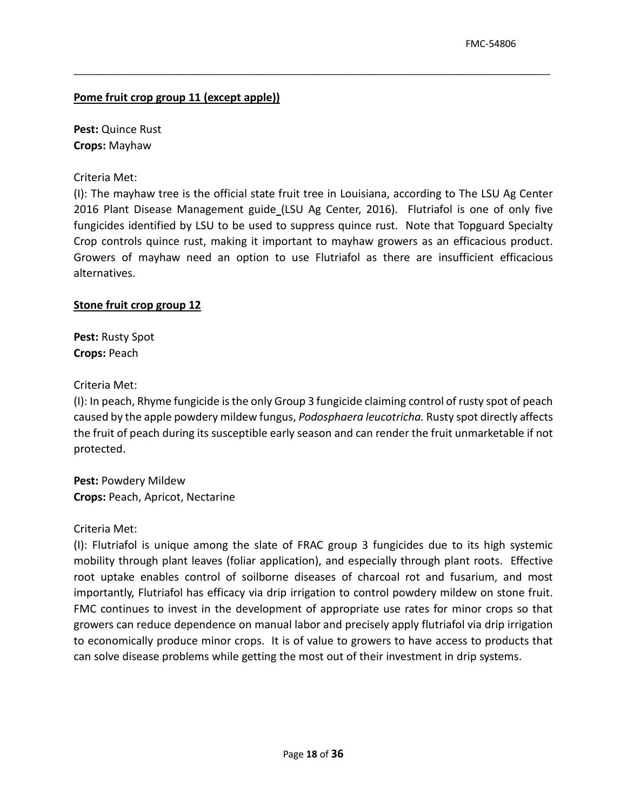### **Pome fruit crop group 11 (except apple))**

 **Pest:** Quince Rust **Crops:** Mayhaw

Criteria Met:

 (I): The mayhaw tree is the official state fruit tree in Louisiana, according to The LSU Ag Center 2016 Plant Disease Management guide\_(LSU Ag Center, 2016). Flutriafol is one of only five fungicides identified by LSU to be used to suppress quince rust. Note that Topguard Specialty Growers of mayhaw need an option to use Flutriafol as there are insufficient efficacious Crop controls quince rust, making it important to mayhaw growers as an efficacious product. alternatives.

\_\_\_\_\_\_\_\_\_\_\_\_\_\_\_\_\_\_\_\_\_\_\_\_\_\_\_\_\_\_\_\_\_\_\_\_\_\_\_\_\_\_\_\_\_\_\_\_\_\_\_\_\_\_\_\_\_\_\_\_\_\_\_\_\_\_\_\_\_\_\_\_\_\_\_\_\_\_\_\_\_\_\_\_\_\_\_\_\_

### **Stone fruit crop group 12**

 **Pest:** Rusty Spot **Crops:** Peach

Criteria Met:

 (I): In peach, Rhyme fungicide is the only Group 3 fungicide claiming control of rusty spot of peach caused by the apple powdery mildew fungus, *Podosphaera leucotricha.* Rusty spot directly affects the fruit of peach during its susceptible early season and can render the fruit unmarketable if not protected.

**Pest:** Powdery Mildew **Crops:** Peach, Apricot, Nectarine

### Criteria Met:

 (I): Flutriafol is unique among the slate of FRAC group 3 fungicides due to its high systemic mobility through plant leaves (foliar application), and especially through plant roots. Effective importantly, Flutriafol has efficacy via drip irrigation to control powdery mildew on stone fruit. to economically produce minor crops. It is of value to growers to have access to products that can solve disease problems while getting the most out of their investment in drip systems. root uptake enables control of soilborne diseases of charcoal rot and fusarium, and most FMC continues to invest in the development of appropriate use rates for minor crops so that growers can reduce dependence on manual labor and precisely apply flutriafol via drip irrigation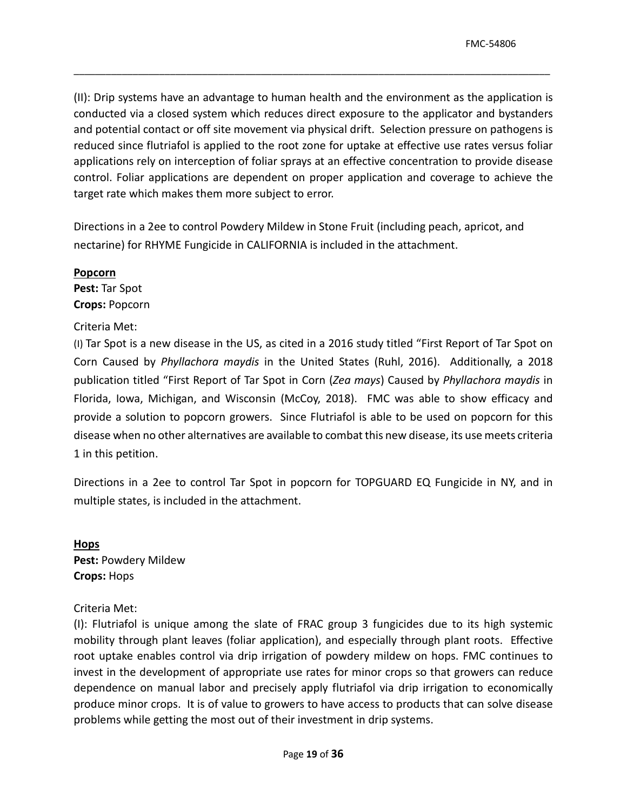conducted via a closed system which reduces direct exposure to the applicator and bystanders conducted via a closed system which reduces direct exposure to the applicator and bystanders<br>and potential contact or off site movement via physical drift. Selection pressure on pathogens is control. Foliar applications are dependent on proper application and coverage to achieve the (II): Drip systems have an advantage to human health and the environment as the application is reduced since flutriafol is applied to the root zone for uptake at effective use rates versus foliar applications rely on interception of foliar sprays at an effective concentration to provide disease target rate which makes them more subject to error.

\_\_\_\_\_\_\_\_\_\_\_\_\_\_\_\_\_\_\_\_\_\_\_\_\_\_\_\_\_\_\_\_\_\_\_\_\_\_\_\_\_\_\_\_\_\_\_\_\_\_\_\_\_\_\_\_\_\_\_\_\_\_\_\_\_\_\_\_\_\_\_\_\_\_\_\_\_\_\_\_\_\_\_\_\_\_\_\_\_

 Directions in a 2ee to control Powdery Mildew in Stone Fruit (including peach, apricot, and nectarine) for RHYME Fungicide in CALIFORNIA is included in the attachment.

### **Popcorn**

 **Pest:** Tar Spot **Crops:** Popcorn

## Criteria Met:

 Corn Caused by *Phyllachora maydis* in the United States (Ruhl, 2016). Additionally, a 2018 provide a solution to popcorn growers. Since Flutriafol is able to be used on popcorn for this disease when no other alternatives are available to combat this new disease, its use meets criteria (I) Tar Spot is a new disease in the US, as cited in a 2016 study titled "First Report of Tar Spot on publication titled "First Report of Tar Spot in Corn (*Zea mays*) Caused by *Phyllachora maydis* in Florida, Iowa, Michigan, and Wisconsin (McCoy, 2018). FMC was able to show efficacy and 1 in this petition.

Directions in a 2ee to control Tar Spot in popcorn for TOPGUARD EQ Fungicide in NY, and in multiple states, is included in the attachment.

 **Crops:** Hops **Hops Pest:** Powdery Mildew

# Criteria Met:

 (I): Flutriafol is unique among the slate of FRAC group 3 fungicides due to its high systemic mobility through plant leaves (foliar application), and especially through plant roots. Effective root uptake enables control via drip irrigation of powdery mildew on hops. FMC continues to produce minor crops. It is of value to growers to have access to products that can solve disease problems while getting the most out of their investment in drip systems. Page **19** of **<sup>36</sup>**invest in the development of appropriate use rates for minor crops so that growers can reduce dependence on manual labor and precisely apply flutriafol via drip irrigation to economically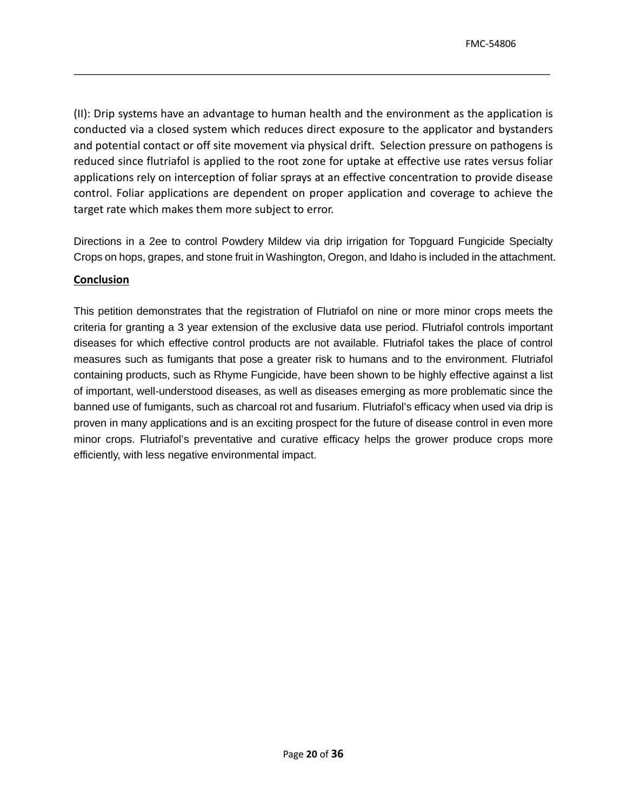conducted via a closed system which reduces direct exposure to the applicator and bystanders conducted via a closed system which reduces direct exposure to the applicator and bystanders<br>and potential contact or off site movement via physical drift. Selection pressure on pathogens is control. Foliar applications are dependent on proper application and coverage to achieve the (II): Drip systems have an advantage to human health and the environment as the application is reduced since flutriafol is applied to the root zone for uptake at effective use rates versus foliar applications rely on interception of foliar sprays at an effective concentration to provide disease target rate which makes them more subject to error.

\_\_\_\_\_\_\_\_\_\_\_\_\_\_\_\_\_\_\_\_\_\_\_\_\_\_\_\_\_\_\_\_\_\_\_\_\_\_\_\_\_\_\_\_\_\_\_\_\_\_\_\_\_\_\_\_\_\_\_\_\_\_\_\_\_\_\_\_\_\_\_\_\_\_\_\_\_\_\_\_\_\_\_\_\_\_\_\_\_

Directions in a 2ee to control Powdery Mildew via drip irrigation for Topguard Fungicide Specialty Crops on hops, grapes, and stone fruit in Washington, Oregon, and Idaho is included in the attachment.

### **Conclusion**

 This petition demonstrates that the registration of Flutriafol on nine or more minor crops meets the criteria for granting a 3 year extension of the exclusive data use period. Flutriafol controls important diseases for which effective control products are not available. Flutriafol takes the place of control minor crops. Flutriafol's preventative and curative efficacy helps the grower produce crops more efficiently, with less negative environmental impact. measures such as fumigants that pose a greater risk to humans and to the environment. Flutriafol containing products, such as Rhyme Fungicide, have been shown to be highly effective against a list of important, well-understood diseases, as well as diseases emerging as more problematic since the banned use of fumigants, such as charcoal rot and fusarium. Flutriafol's efficacy when used via drip is proven in many applications and is an exciting prospect for the future of disease control in even more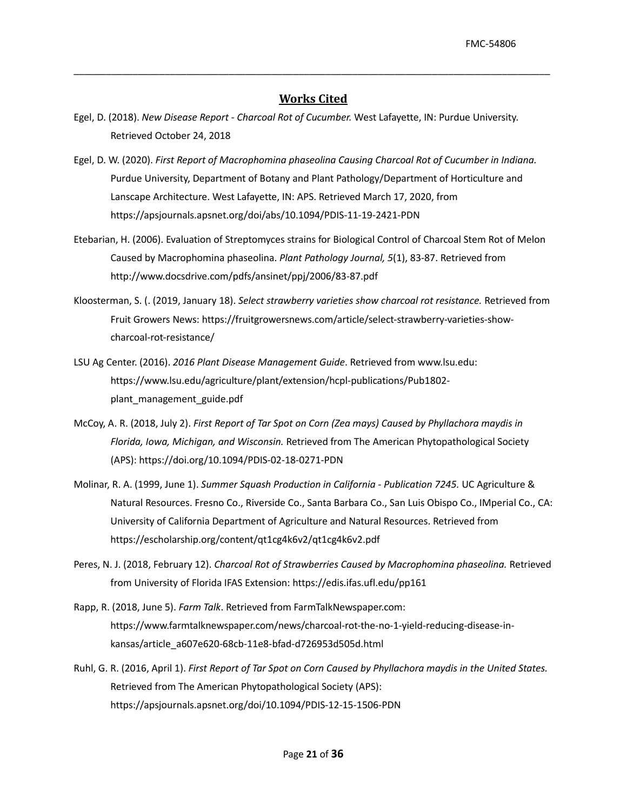### **Works Cited**

- Egel, D. (2018). *New Disease Report - Charcoal Rot of Cucumber.* West Lafayette, IN: Purdue University. Retrieved October 24, 2018
- Egel, D. W. (2020). *First Report of Macrophomina phaseolina Causing Charcoal Rot of Cucumber in Indiana.*  Lanscape Architecture. West Lafayette, IN: APS. Retrieved March 17, 2020, from Purdue University, Department of Botany and Plant Pathology/Department of Horticulture and <https://apsjournals.apsnet.org/doi/abs/10.1094/PDIS-11-19-2421-PDN>
- Etebarian, H. (2006). Evaluation of Streptomyces strains for Biological Control of Charcoal Stem Rot of Melon Caused by Macrophomina phaseolina. *Plant Pathology Journal, 5*(1), 83-87. Retrieved from <http://www.docsdrive.com/pdfs/ansinet/ppj/2006/83-87.pdf>
- Kloosterman, S. (. (2019, January 18). *Select strawberry varieties show charcoal rot resistance.* Retrieved from Fruit Growers News:<https://fruitgrowersnews.com/article/select-strawberry-varieties-show>charcoal-rot-resistance/
- LSU Ag Center. (2016). *2016 Plant Disease Management Guide*. Retrieved from [www.lsu.edu:](www.lsu.edu) <https://www.lsu.edu/agriculture/plant/extension/hcpl-publications/Pub1802> plant\_management\_guide.pdf
- McCoy, A. R. (2018, July 2). *First Report of Tar Spot on Corn (Zea mays) Caused by Phyllachora maydis in Florida, Iowa, Michigan, and Wisconsin.* Retrieved from The American Phytopathological Society (APS): <https://doi.org/10.1094/PDIS-02-18-0271-PDN>
- Molinar, R. A. (1999, June 1). *Summer Squash Production in California - Publication 7245.* UC Agriculture & Natural Resources. Fresno Co., Riverside Co., Santa Barbara Co., San Luis Obispo Co., IMperial Co., CA: University of California Department of Agriculture and Natural Resources. Retrieved from <https://escholarship.org/content/qt1cg4k6v2/qt1cg4k6v2.pdf>
- Peres, N. J. (2018, February 12). *Charcoal Rot of Strawberries Caused by Macrophomina phaseolina.* Retrieved from University of Florida IFAS Extension: <https://edis.ifas.ufl.edu/pp161>
- Rapp, R. (2018, June 5). *Farm Talk*. Retrieved from [FarmTalkNewspaper.com](https://FarmTalkNewspaper.com): <https://www.farmtalknewspaper.com/news/charcoal-rot-the-no-1-yield-reducing-disease-in>kansas/article\_a607e620-68cb-11e8-bfad-d726953d505d.html
- Retrieved from The American Phytopathological Society (APS): Ruhl, G. R. (2016, April 1). *First Report of Tar Spot on Corn Caused by Phyllachora maydis in the United States.*  <https://apsjournals.apsnet.org/doi/10.1094/PDIS-12-15-1506-PDN>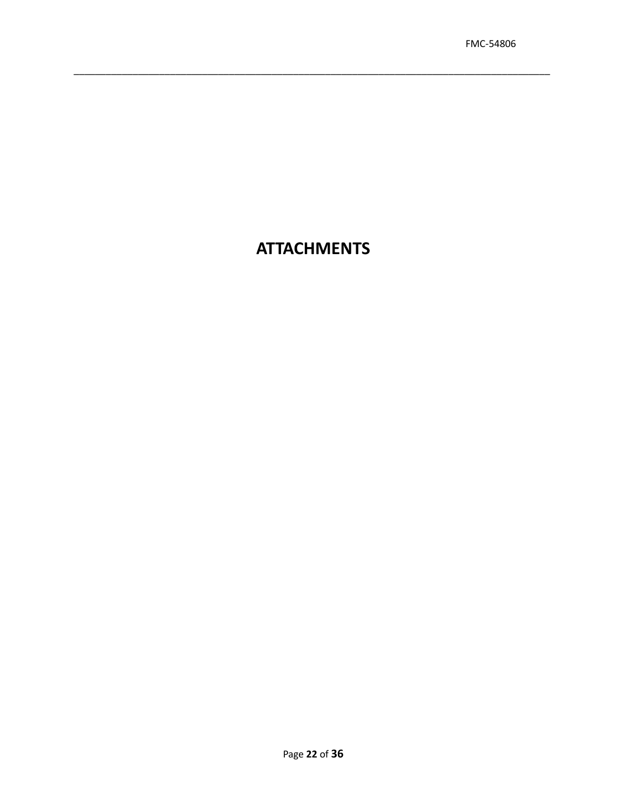# **ATTACHMENTS**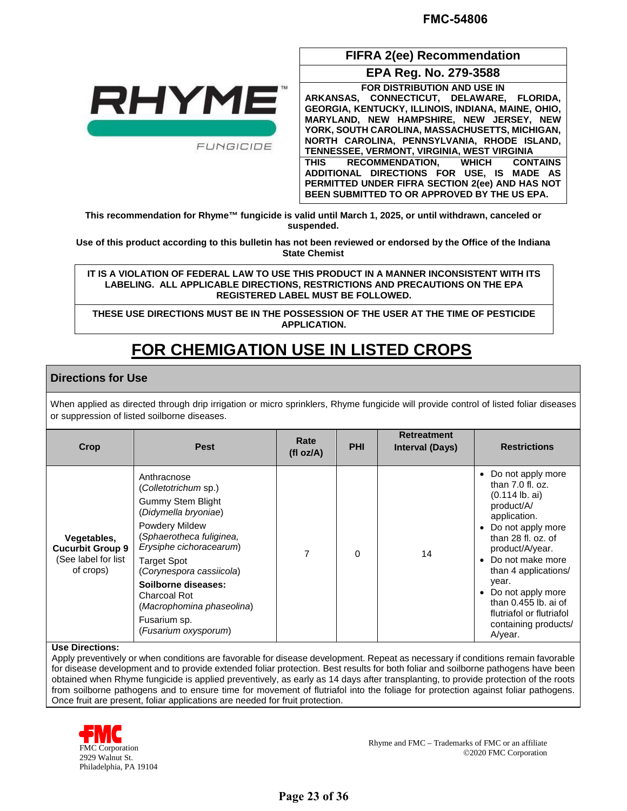

 **ARKANSAS, CONNECTICUT, DELAWARE, FLORIDA, GEORGIA, KENTUCKY, ILLINOIS, INDIANA, MAINE, OHIO, PERMITTED UNDER FIFRA SECTION 2(ee) AND HAS NOT EPA Reg. No. 279-3588 FOR DISTRIBUTION AND USE IN MARYLAND, NEW HAMPSHIRE, NEW JERSEY, NEW YORK, SOUTH CAROLINA, MASSACHUSETTS, MICHIGAN, NORTH CAROLINA, PENNSYLVANIA, RHODE ISLAND, TENNESSEE, VERMONT, VIRGINIA, WEST VIRGINIA THIS RECOMMENDATION, WHICH CONTAINS ADDITIONAL DIRECTIONS FOR USE, IS MADE AS BEEN SUBMITTED TO OR APPROVED BY THE US EPA.** 

**FIFRA 2(ee) Recommendation** 

 **This recommendation for Rhyme™ fungicide is valid until March 1, 2025, or until withdrawn, canceled or suspended.** 

**State Chemist Use of this product according to this bulletin has not been reviewed or endorsed by the Office of the Indiana**

 **LABELING. ALL APPLICABLE DIRECTIONS, RESTRICTIONS AND PRECAUTIONS ON THE EPA**  IT IS A VIOLATION OF FEDERAL LAW TO USE THIS PRODUCT IN A MANNER INCONSISTENT WITH ITS **REGISTERED LABEL MUST BE FOLLOWED.** 

**THESE USE DIRECTIONS MUST BE IN THE POSSESSION OF THE USER AT THE TIME OF PESTICIDE APPLICATION.** 

# **FOR CHEMIGATION USE IN LISTED CROPS**

### **Directions for Use**

When applied as directed through drip irrigation or micro sprinklers, Rhyme fungicide will provide control of listed foliar diseases or suppression of listed soilborne diseases.

| Crop                                                                       | <b>Pest</b>                                                                                                                                                                                                                                                                                                                                  | Rate<br>(fl oz/A) | <b>PHI</b> | <b>Retreatment</b><br><b>Interval (Days)</b> | <b>Restrictions</b>                                                                                                                                                                                                                                                                                                            |
|----------------------------------------------------------------------------|----------------------------------------------------------------------------------------------------------------------------------------------------------------------------------------------------------------------------------------------------------------------------------------------------------------------------------------------|-------------------|------------|----------------------------------------------|--------------------------------------------------------------------------------------------------------------------------------------------------------------------------------------------------------------------------------------------------------------------------------------------------------------------------------|
| Vegetables,<br><b>Cucurbit Group 9</b><br>(See label for list<br>of crops) | Anthracnose<br>(Colletotrichum sp.)<br><b>Gummy Stem Blight</b><br>(Didymella bryoniae)<br><b>Powdery Mildew</b><br>(Sphaerotheca fuliginea,<br>Erysiphe cichoracearum)<br><b>Target Spot</b><br>(Corynespora cassiicola)<br>Soilborne diseases:<br><b>Charcoal Rot</b><br>(Macrophomina phaseolina)<br>Fusarium sp.<br>(Fusarium oxysporum) | 7                 | $\Omega$   | 14                                           | • Do not apply more<br>than $7.0$ fl. oz.<br>$(0.114$ lb. ai)<br>product/A/<br>application.<br>• Do not apply more<br>than 28 fl. oz. of<br>product/A/year.<br>• Do not make more<br>than 4 applications/<br>year.<br>Do not apply more<br>than 0.455 lb. ai of<br>flutriafol or flutriafol<br>containing products/<br>A/year. |

#### **Use Directions:**

 Apply preventively or when conditions are favorable for disease development. Repeat as necessary if conditions remain favorable from soilborne pathogens and to ensure time for movement of flutriafol into the foliage for protection against foliar pathogens. for disease development and to provide extended foliar protection. Best results for both foliar and soilborne pathogens have been obtained when Rhyme fungicide is applied preventively, as early as 14 days after transplanting, to provide protection of the roots Once fruit are present, foliar applications are needed for fruit protection.



Rhyme and FMC – Trademarks of FMC or an affiliate FMC Corporation 2020 Walnut St. 2029 Walnut St.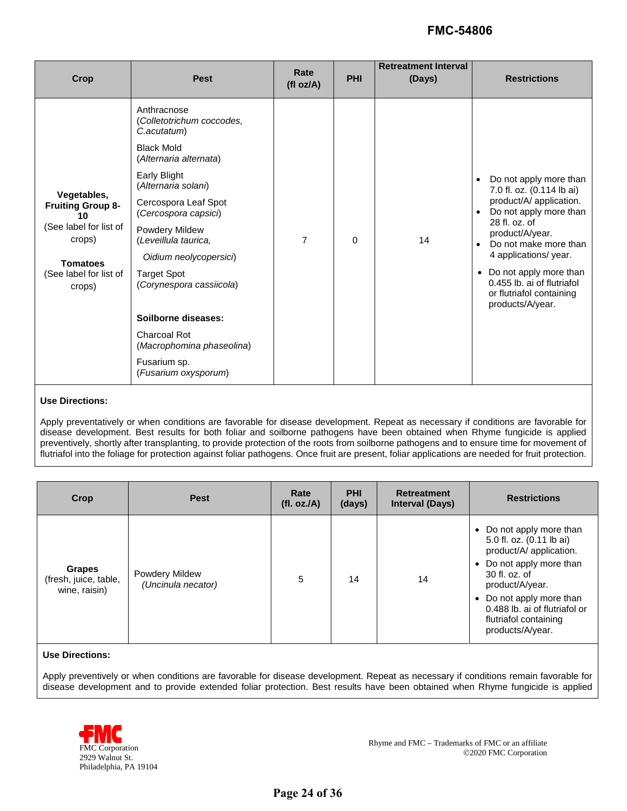| Crop                                                                                                                                     | <b>Pest</b>                                                                                                                                                                                                                                                                                                                                                                                                                     | Rate<br>(fl oz/A) | <b>PHI</b> | <b>Retreatment Interval</b><br>(Days) | <b>Restrictions</b>                                                                                                                                                                                                                                                                                                                |
|------------------------------------------------------------------------------------------------------------------------------------------|---------------------------------------------------------------------------------------------------------------------------------------------------------------------------------------------------------------------------------------------------------------------------------------------------------------------------------------------------------------------------------------------------------------------------------|-------------------|------------|---------------------------------------|------------------------------------------------------------------------------------------------------------------------------------------------------------------------------------------------------------------------------------------------------------------------------------------------------------------------------------|
| Vegetables,<br><b>Fruiting Group 8-</b><br>10<br>(See label for list of<br>crops)<br><b>Tomatoes</b><br>(See label for list of<br>crops) | Anthracnose<br>(Colletotrichum coccodes,<br>C.acutatum)<br><b>Black Mold</b><br>(Alternaria alternata)<br>Early Blight<br>(Alternaria solani)<br>Cercospora Leaf Spot<br>(Cercospora capsici)<br>Powdery Mildew<br>(Leveillula taurica,<br>Oidium neolycopersici)<br><b>Target Spot</b><br>(Corynespora cassiicola)<br>Soilborne diseases:<br>Charcoal Rot<br>(Macrophomina phaseolina)<br>Fusarium sp.<br>(Fusarium oxysporum) | $\overline{7}$    | $\Omega$   | 14                                    | Do not apply more than<br>$\bullet$<br>7.0 fl. oz. (0.114 lb ai)<br>product/A/ application.<br>Do not apply more than<br>28 fl. oz. of<br>product/A/year.<br>Do not make more than<br>$\bullet$<br>4 applications/ year.<br>• Do not apply more than<br>0.455 lb. ai of flutriafol<br>or flutriafol containing<br>products/A/year. |

#### **Use Directions:**

 preventively, shortly after transplanting, to provide protection of the roots from soilborne pathogens and to ensure time for movement of Apply preventatively or when conditions are favorable for disease development. Repeat as necessary if conditions are favorable for disease development. Best results for both foliar and soilborne pathogens have been obtained when Rhyme fungicide is applied flutriafol into the foliage for protection against foliar pathogens. Once fruit are present, foliar applications are needed for fruit protection.

| Crop                                                    | <b>Pest</b>                                 | Rate<br>(fl. oz./A) | <b>PHI</b><br>(days) | <b>Retreatment</b><br><b>Interval (Days)</b> | <b>Restrictions</b>                                                                                                                                                                                                                                                             |
|---------------------------------------------------------|---------------------------------------------|---------------------|----------------------|----------------------------------------------|---------------------------------------------------------------------------------------------------------------------------------------------------------------------------------------------------------------------------------------------------------------------------------|
| <b>Grapes</b><br>(fresh, juice, table,<br>wine, raisin) | <b>Powdery Mildew</b><br>(Uncinula necator) | 5                   | 14                   | 14                                           | • Do not apply more than<br>5.0 fl. oz. (0.11 lb ai)<br>product/A/ application.<br>Do not apply more than<br>$\bullet$<br>30 fl. oz. of<br>product/A/year.<br>Do not apply more than<br>$\bullet$<br>0.488 lb. ai of flutriafol or<br>flutriafol containing<br>products/A/year. |

#### **Use Directions:**

 Apply preventively or when conditions are favorable for disease development. Repeat as necessary if conditions remain favorable for disease development and to provide extended foliar protection. Best results have been obtained when Rhyme fungicide is applied

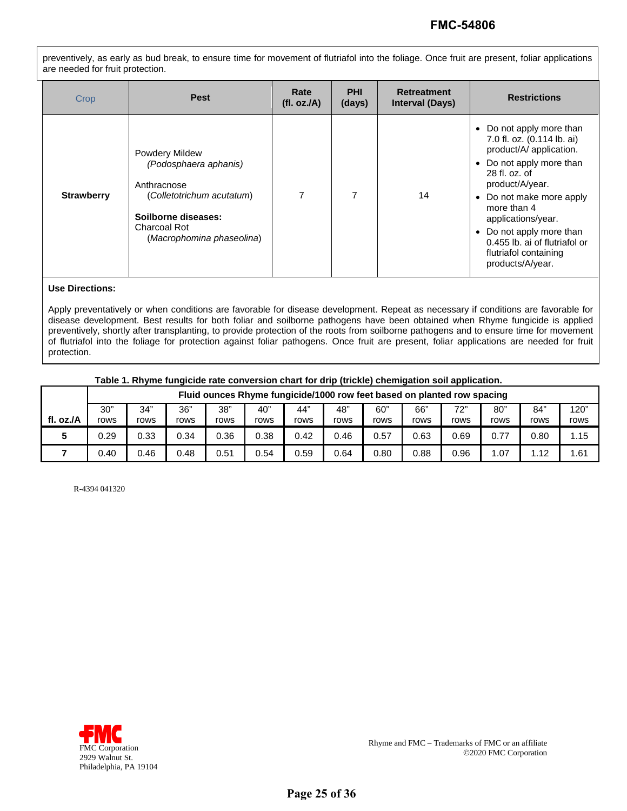preventively, as early as bud break, to ensure time for movement of flutriafol into the foliage. Once fruit are present, foliar applications are needed for fruit protection.

| Crop              | <b>Pest</b>                                                                                                                                                    | Rate<br>(fl. oz./A) | <b>PHI</b><br>(days) | <b>Retreatment</b><br><b>Interval (Days)</b> | <b>Restrictions</b>                                                                                                                                                                                                                                                                                                                          |
|-------------------|----------------------------------------------------------------------------------------------------------------------------------------------------------------|---------------------|----------------------|----------------------------------------------|----------------------------------------------------------------------------------------------------------------------------------------------------------------------------------------------------------------------------------------------------------------------------------------------------------------------------------------------|
| <b>Strawberry</b> | <b>Powdery Mildew</b><br>(Podosphaera aphanis)<br>Anthracnose<br>(Colletotrichum acutatum)<br>Soilborne diseases:<br>Charcoal Rot<br>(Macrophomina phaseolina) | 7                   | 7                    | 14                                           | Do not apply more than<br>$\bullet$<br>7.0 fl. oz. (0.114 lb. ai)<br>product/A/ application.<br>• Do not apply more than<br>$28$ fl. $oz$ , of<br>product/A/year.<br>• Do not make more apply<br>more than 4<br>applications/year.<br>• Do not apply more than<br>0.455 lb. ai of flutriafol or<br>flutriafol containing<br>products/A/year. |

#### **Use Directions:**

Apply preventatively or when conditions are favorable for disease development. Repeat as necessary if conditions are favorable for disease development. Best results for both foliar and soilborne pathogens have been obtained when Rhyme fungicide is applied preventively, shortly after transplanting, to provide protection of the roots from soilborne pathogens and to ensure time for movement of flutriafol into the foliage for protection against foliar pathogens. Once fruit are present, foliar applications are needed for fruit protection.

#### **Table 1. Rhyme fungicide rate conversion chart for drip (trickle) chemigation soil application.**

|           | Fluid ounces Rhyme fungicide/1000 row feet based on planted row spacing |             |             |             |             |             |             |             |             |             |             |             |              |
|-----------|-------------------------------------------------------------------------|-------------|-------------|-------------|-------------|-------------|-------------|-------------|-------------|-------------|-------------|-------------|--------------|
| fl. oz./A | 30"<br>rows                                                             | 34"<br>rows | 36"<br>rows | 38"<br>rows | 40"<br>rows | 44"<br>rows | 48"<br>rows | 60"<br>rows | 66"<br>rows | 72"<br>rows | 80"<br>rows | 84"<br>rows | 120"<br>rows |
|           | 0.29                                                                    | 0.33        | 0.34        | 0.36        | 0.38        | 0.42        | 0.46        | 0.57        | 0.63        | 0.69        | 0.77        | 0.80        | 1.15         |
|           | 0.40                                                                    | 0.46        | 0.48        | 0.51        | 0.54        | 0.59        | 0.64        | 0.80        | 0.88        | 0.96        | .07         | 1.12        | 1.61         |

R-4394 041320

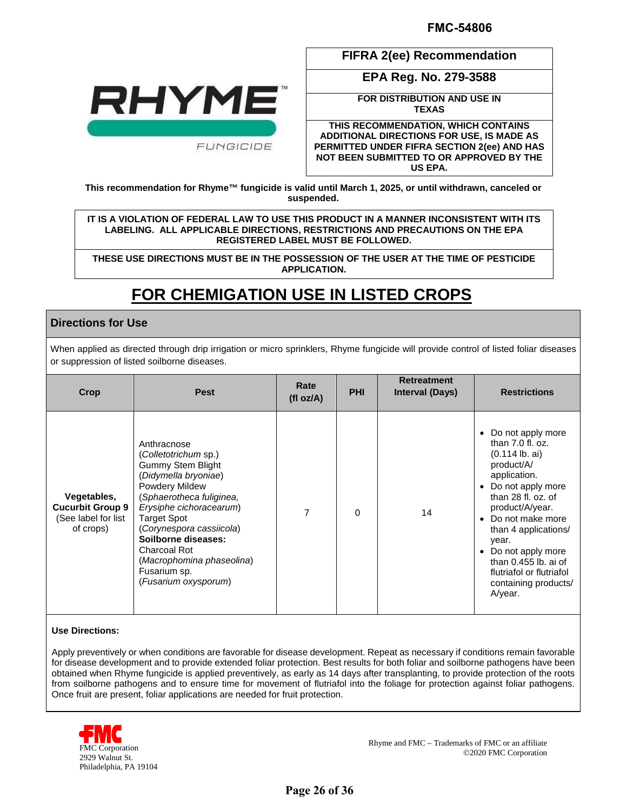

**FIFRA 2(ee) Recommendation** 

**EPA Reg. No. 279-3588** 

**FOR DISTRIBUTION AND USE IN TEXAS** 

**THIS RECOMMENDATION, WHICH CONTAINS ADDITIONAL DIRECTIONS FOR USE, IS MADE AS PERMITTED UNDER FIFRA SECTION 2(ee) AND HAS NOT BEEN SUBMITTED TO OR APPROVED BY THE US EPA.** 

 **This recommendation for Rhyme™ fungicide is valid until March 1, 2025, or until withdrawn, canceled or suspended.** 

 **LABELING. ALL APPLICABLE DIRECTIONS, RESTRICTIONS AND PRECAUTIONS ON THE EPA IT IS A VIOLATION OF FEDERAL LAW TO USE THIS PRODUCT IN A MANNER INCONSISTENT WITH ITS REGISTERED LABEL MUST BE FOLLOWED.** 

**THESE USE DIRECTIONS MUST BE IN THE POSSESSION OF THE USER AT THE TIME OF PESTICIDE APPLICATION.** 

# **FOR CHEMIGATION USE IN LISTED CROPS**

### **Directions for Use**

When applied as directed through drip irrigation or micro sprinklers, Rhyme fungicide will provide control of listed foliar diseases or suppression of listed soilborne diseases.

| Crop                                                                       | <b>Pest</b>                                                                                                                                                                                                                                                                                                                                  | Rate<br>(fI oz/A) | <b>PHI</b> | <b>Retreatment</b><br><b>Interval (Days)</b> | <b>Restrictions</b>                                                                                                                                                                                                                                                                                                                       |
|----------------------------------------------------------------------------|----------------------------------------------------------------------------------------------------------------------------------------------------------------------------------------------------------------------------------------------------------------------------------------------------------------------------------------------|-------------------|------------|----------------------------------------------|-------------------------------------------------------------------------------------------------------------------------------------------------------------------------------------------------------------------------------------------------------------------------------------------------------------------------------------------|
| Vegetables,<br><b>Cucurbit Group 9</b><br>(See label for list<br>of crops) | Anthracnose<br>(Colletotrichum sp.)<br><b>Gummy Stem Blight</b><br>(Didymella bryoniae)<br><b>Powdery Mildew</b><br>(Sphaerotheca fuliginea,<br>Erysiphe cichoracearum)<br><b>Target Spot</b><br>(Corynespora cassiicola)<br>Soilborne diseases:<br><b>Charcoal Rot</b><br>(Macrophomina phaseolina)<br>Fusarium sp.<br>(Fusarium oxysporum) | 7                 | $\Omega$   | 14                                           | Do not apply more<br>$\bullet$<br>than $7.0$ fl. oz.<br>$(0.114$ lb. ai)<br>product/A/<br>application.<br>• Do not apply more<br>than 28 fl. oz. of<br>product/A/year.<br>• Do not make more<br>than 4 applications/<br>year.<br>Do not apply more<br>than 0.455 lb. ai of<br>flutriafol or flutriafol<br>containing products/<br>A/year. |

#### **Use Directions:**

 Apply preventively or when conditions are favorable for disease development. Repeat as necessary if conditions remain favorable from soilborne pathogens and to ensure time for movement of flutriafol into the foliage for protection against foliar pathogens. for disease development and to provide extended foliar protection. Best results for both foliar and soilborne pathogens have been obtained when Rhyme fungicide is applied preventively, as early as 14 days after transplanting, to provide protection of the roots Once fruit are present, foliar applications are needed for fruit protection.



Rhyme and FMC – Trademarks of FMC or an affiliate FMC Corporation 2020 Walnut St. 2029 Walnut St.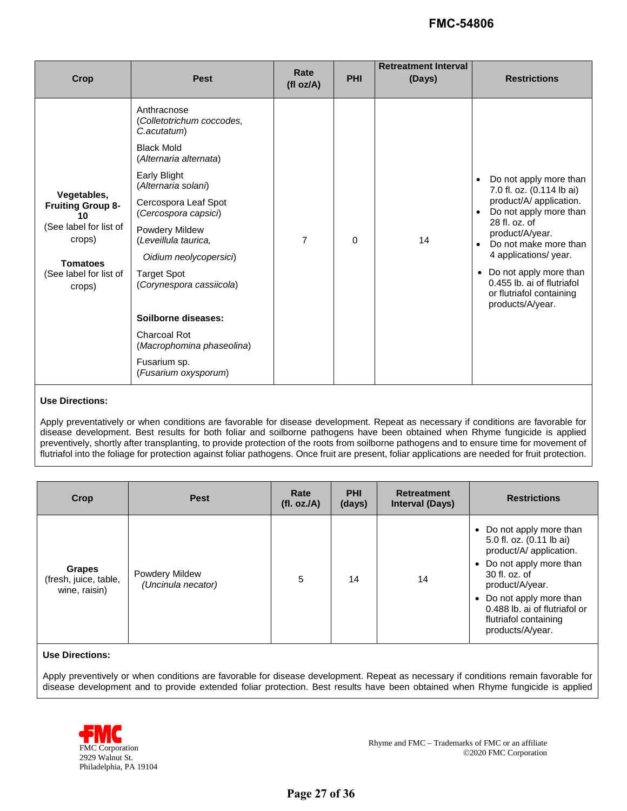| Crop                                                                                                                                     | <b>Pest</b>                                                                                                                                                                                                                                                                                                                                                                             | Rate<br>(fl oz/A) | <b>PHI</b> | <b>Retreatment Interval</b><br>(Days) | <b>Restrictions</b>                                                                                                                                                                                                                                                                                                                |
|------------------------------------------------------------------------------------------------------------------------------------------|-----------------------------------------------------------------------------------------------------------------------------------------------------------------------------------------------------------------------------------------------------------------------------------------------------------------------------------------------------------------------------------------|-------------------|------------|---------------------------------------|------------------------------------------------------------------------------------------------------------------------------------------------------------------------------------------------------------------------------------------------------------------------------------------------------------------------------------|
| Vegetables,<br><b>Fruiting Group 8-</b><br>10<br>(See label for list of<br>crops)<br><b>Tomatoes</b><br>(See label for list of<br>crops) | Anthracnose<br>(Colletotrichum coccodes,<br>C.acutatum)<br><b>Black Mold</b><br>(Alternaria alternata)<br>Early Blight<br>(Alternaria solani)<br>Cercospora Leaf Spot<br>(Cercospora capsici)<br>Powdery Mildew<br>(Leveillula taurica,<br>Oidium neolycopersici)<br><b>Target Spot</b><br>(Corynespora cassiicola)<br>Soilborne diseases:<br>Charcoal Rot<br>(Macrophomina phaseolina) | $\overline{7}$    | $\Omega$   | 14                                    | Do not apply more than<br>$\bullet$<br>7.0 fl. oz. (0.114 lb ai)<br>product/A/ application.<br>Do not apply more than<br>28 fl. oz. of<br>product/A/year.<br>Do not make more than<br>$\bullet$<br>4 applications/ year.<br>• Do not apply more than<br>0.455 lb. ai of flutriafol<br>or flutriafol containing<br>products/A/year. |
|                                                                                                                                          | Fusarium sp.<br>(Fusarium oxysporum)                                                                                                                                                                                                                                                                                                                                                    |                   |            |                                       |                                                                                                                                                                                                                                                                                                                                    |

#### **Use Directions:**

 preventively, shortly after transplanting, to provide protection of the roots from soilborne pathogens and to ensure time for movement of Apply preventatively or when conditions are favorable for disease development. Repeat as necessary if conditions are favorable for disease development. Best results for both foliar and soilborne pathogens have been obtained when Rhyme fungicide is applied flutriafol into the foliage for protection against foliar pathogens. Once fruit are present, foliar applications are needed for fruit protection.

| Crop                                                    | <b>Pest</b>                                 | Rate<br>(fl. oz./A) | <b>PHI</b><br>(days) | <b>Retreatment</b><br><b>Interval (Days)</b> | <b>Restrictions</b>                                                                                                                                                                                                                                                             |
|---------------------------------------------------------|---------------------------------------------|---------------------|----------------------|----------------------------------------------|---------------------------------------------------------------------------------------------------------------------------------------------------------------------------------------------------------------------------------------------------------------------------------|
| <b>Grapes</b><br>(fresh, juice, table,<br>wine, raisin) | <b>Powdery Mildew</b><br>(Uncinula necator) | 5                   | 14                   | 14                                           | • Do not apply more than<br>5.0 fl. oz. (0.11 lb ai)<br>product/A/ application.<br>Do not apply more than<br>$\bullet$<br>30 fl. oz. of<br>product/A/year.<br>Do not apply more than<br>$\bullet$<br>0.488 lb. ai of flutriafol or<br>flutriafol containing<br>products/A/year. |

#### **Use Directions:**

 Apply preventively or when conditions are favorable for disease development. Repeat as necessary if conditions remain favorable for disease development and to provide extended foliar protection. Best results have been obtained when Rhyme fungicide is applied

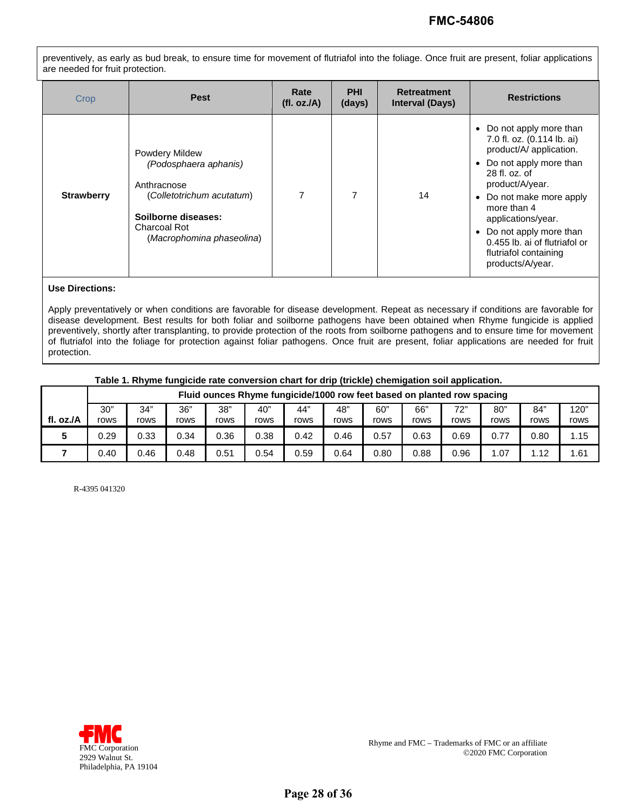preventively, as early as bud break, to ensure time for movement of flutriafol into the foliage. Once fruit are present, foliar applications are needed for fruit protection.

| Crop              | <b>Pest</b>                                                                                                                                                    | Rate<br>(fl. oz./A) | <b>PHI</b><br>(days) | <b>Retreatment</b><br><b>Interval (Days)</b> | <b>Restrictions</b>                                                                                                                                                                                                                                                                                                                          |
|-------------------|----------------------------------------------------------------------------------------------------------------------------------------------------------------|---------------------|----------------------|----------------------------------------------|----------------------------------------------------------------------------------------------------------------------------------------------------------------------------------------------------------------------------------------------------------------------------------------------------------------------------------------------|
| <b>Strawberry</b> | <b>Powdery Mildew</b><br>(Podosphaera aphanis)<br>Anthracnose<br>(Colletotrichum acutatum)<br>Soilborne diseases:<br>Charcoal Rot<br>(Macrophomina phaseolina) | 7                   | 7                    | 14                                           | Do not apply more than<br>$\bullet$<br>7.0 fl. oz. (0.114 lb. ai)<br>product/A/ application.<br>• Do not apply more than<br>$28$ fl. $oz$ , of<br>product/A/year.<br>• Do not make more apply<br>more than 4<br>applications/year.<br>• Do not apply more than<br>0.455 lb. ai of flutriafol or<br>flutriafol containing<br>products/A/year. |

#### **Use Directions:**

Apply preventatively or when conditions are favorable for disease development. Repeat as necessary if conditions are favorable for disease development. Best results for both foliar and soilborne pathogens have been obtained when Rhyme fungicide is applied preventively, shortly after transplanting, to provide protection of the roots from soilborne pathogens and to ensure time for movement of flutriafol into the foliage for protection against foliar pathogens. Once fruit are present, foliar applications are needed for fruit protection.

#### **Table 1. Rhyme fungicide rate conversion chart for drip (trickle) chemigation soil application.**

|           | Fluid ounces Rhyme fungicide/1000 row feet based on planted row spacing |             |             |             |             |             |             |             |             |             |             |             |              |
|-----------|-------------------------------------------------------------------------|-------------|-------------|-------------|-------------|-------------|-------------|-------------|-------------|-------------|-------------|-------------|--------------|
| fl. oz./A | 30"<br>rows                                                             | 34"<br>rows | 36"<br>rows | 38"<br>rows | 40"<br>rows | 44"<br>rows | 48"<br>rows | 60"<br>rows | 66"<br>rows | 72"<br>rows | 80"<br>rows | 84"<br>rows | 120"<br>rows |
|           | 0.29                                                                    | 0.33        | 0.34        | 0.36        | 0.38        | 0.42        | 0.46        | 0.57        | 0.63        | 0.69        | 0.77        | 0.80        | 1.15         |
|           | 0.40                                                                    | 0.46        | 0.48        | 0.51        | 0.54        | 0.59        | 0.64        | 0.80        | 0.88        | 0.96        | .07         | 1.12        | 1.61         |

R-4395 041320

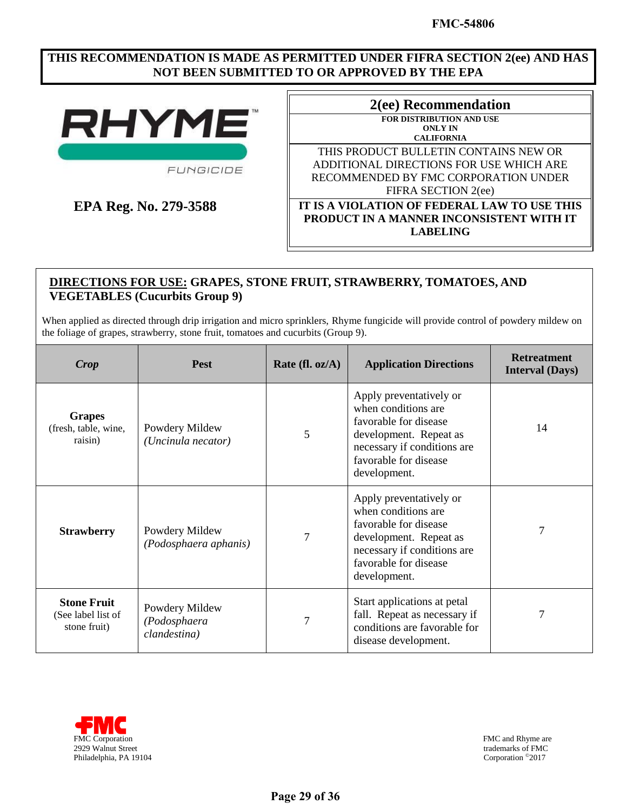### **THIS RECOMMENDATION IS MADE AS PERMITTED UNDER FIFRA SECTION 2(ee) AND HAS NOT BEEN SUBMITTED TO OR APPROVED BY THE EPA**



FUNGICIDE

**EPA Reg. No. 279-3588** 

| 2(ee) Recommendation                              |  |  |  |  |
|---------------------------------------------------|--|--|--|--|
| <b>FOR DISTRIBUTION AND USE</b><br><b>ONLY IN</b> |  |  |  |  |
| <b>CALIFORNIA</b>                                 |  |  |  |  |
| THIS PRODUCT BULLETIN CONTAINS NEW OR             |  |  |  |  |
| ADDITIONAL DIRECTIONS FOR USE WHICH ARE           |  |  |  |  |
| RECOMMENDED BY FMC CORPORATION UNDER              |  |  |  |  |
| FIFRA SECTION 2(ee)                               |  |  |  |  |
| IT IS A VIOLATION OF FEDERAL LAW TO USE THIS      |  |  |  |  |
| PRODUCT IN A MANNER INCONSISTENT WITH IT          |  |  |  |  |
| <b>LABELING</b>                                   |  |  |  |  |

# **DIRECTIONS FOR USE: GRAPES, STONE FRUIT, STRAWBERRY, TOMATOES, AND VEGETABLES (Cucurbits Group 9)**

 When applied as directed through drip irrigation and micro sprinklers, Rhyme fungicide will provide control of powdery mildew on the foliage of grapes, strawberry, stone fruit, tomatoes and cucurbits (Group 9).

| Crop                                                     | <b>Pest</b>                                    | Rate (fl. $oz/A$ ) | <b>Application Directions</b>                                                                                                                                             | <b>Retreatment</b><br><b>Interval (Days)</b> |
|----------------------------------------------------------|------------------------------------------------|--------------------|---------------------------------------------------------------------------------------------------------------------------------------------------------------------------|----------------------------------------------|
| <b>Grapes</b><br>(fresh, table, wine,<br>raisin)         | Powdery Mildew<br>(Uncinula necator)           | 5                  | Apply preventatively or<br>when conditions are<br>favorable for disease<br>development. Repeat as<br>necessary if conditions are<br>favorable for disease<br>development. | 14                                           |
| <b>Strawberry</b>                                        | Powdery Mildew<br>(Podosphaera aphanis)        | 7                  | Apply preventatively or<br>when conditions are<br>favorable for disease<br>development. Repeat as<br>necessary if conditions are<br>favorable for disease<br>development. |                                              |
| <b>Stone Fruit</b><br>(See label list of<br>stone fruit) | Powdery Mildew<br>(Podosphaera<br>clandestina) | 7                  | Start applications at petal<br>fall. Repeat as necessary if<br>conditions are favorable for<br>disease development.                                                       |                                              |



FMC and Rhyme are trademarks of FMC<br>Corporation <sup>©</sup>2017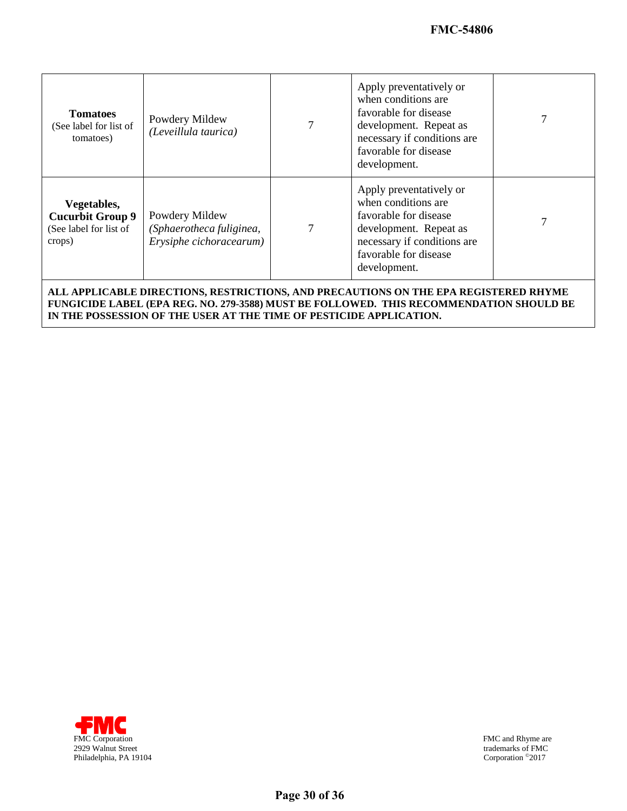| <b>Tomatoes</b><br>(See label for list of<br>tomatoes)                     | Powdery Mildew<br>(Leveillula taurica)                                | 7 | Apply preventatively or<br>when conditions are.<br>favorable for disease<br>development. Repeat as<br>necessary if conditions are<br>favorable for disease<br>development. |  |
|----------------------------------------------------------------------------|-----------------------------------------------------------------------|---|----------------------------------------------------------------------------------------------------------------------------------------------------------------------------|--|
| Vegetables,<br><b>Cucurbit Group 9</b><br>(See label for list of<br>crops) | Powdery Mildew<br>(Sphaerotheca fuliginea,<br>Erysiphe cichoracearum) | 7 | Apply preventatively or<br>when conditions are.<br>favorable for disease<br>development. Repeat as<br>necessary if conditions are<br>favorable for disease<br>development. |  |

 **FUNGICIDE LABEL (EPA REG. NO. 279-3588) MUST BE FOLLOWED. THIS RECOMMENDATION SHOULD BE IN THE POSSESSION OF THE USER AT THE TIME OF PESTICIDE APPLICATION. ALL APPLICABLE DIRECTIONS, RESTRICTIONS, AND PRECAUTIONS ON THE EPA REGISTERED RHYME** 



FMC and Rhyme are trademarks of FMC<br>Corporation <sup>©</sup>2017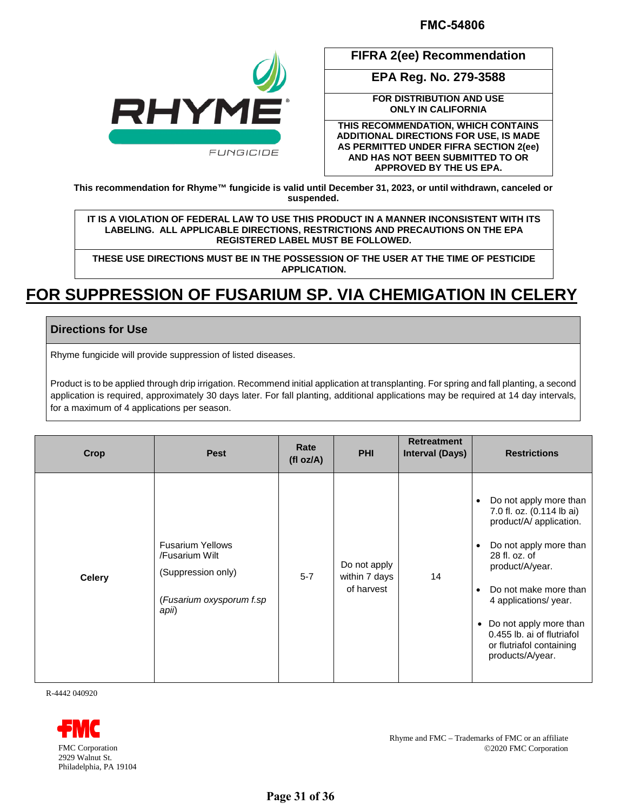

**FIFRA 2(ee) Recommendation** 

**EPA Reg. No. 279-3588** 

**FOR DISTRIBUTION AND USE ONLY IN CALIFORNIA** 

**THIS RECOMMENDATION, WHICH CONTAINS ADDITIONAL DIRECTIONS FOR USE, IS MADE AS PERMITTED UNDER FIFRA SECTION 2(ee) AND HAS NOT BEEN SUBMITTED TO OR APPROVED BY THE US EPA.** 

**This recommendation for Rhyme™ fungicide is valid until December 31, 2023, or until withdrawn, canceled or suspended.** 

 **LABELING. ALL APPLICABLE DIRECTIONS, RESTRICTIONS AND PRECAUTIONS ON THE EPA IT IS A VIOLATION OF FEDERAL LAW TO USE THIS PRODUCT IN A MANNER INCONSISTENT WITH ITS REGISTERED LABEL MUST BE FOLLOWED.** 

**THESE USE DIRECTIONS MUST BE IN THE POSSESSION OF THE USER AT THE TIME OF PESTICIDE APPLICATION.** 

# **FOR SUPPRESSION OF FUSARIUM SP. VIA CHEMIGATION IN CELERY**

## **Directions for Use**

Rhyme fungicide will provide suppression of listed diseases.

 Product is to be applied through drip irrigation. Recommend initial application at transplanting. For spring and fall planting, a second application is required, approximately 30 days later. For fall planting, additional applications may be required at 14 day intervals, for a maximum of 4 applications per season.

| Crop          | <b>Pest</b>                                                                                          | Rate<br>(fl oz/A) | <b>PHI</b>                                  | <b>Retreatment</b><br><b>Interval (Days)</b> | <b>Restrictions</b>                                                                                                                                                                                                                                                                                                                                        |
|---------------|------------------------------------------------------------------------------------------------------|-------------------|---------------------------------------------|----------------------------------------------|------------------------------------------------------------------------------------------------------------------------------------------------------------------------------------------------------------------------------------------------------------------------------------------------------------------------------------------------------------|
| <b>Celery</b> | <b>Fusarium Yellows</b><br>/Fusarium Wilt<br>(Suppression only)<br>(Fusarium oxysporum f.sp<br>apii) | $5 - 7$           | Do not apply<br>within 7 days<br>of harvest | 14                                           | Do not apply more than<br>$\bullet$<br>7.0 fl. oz. (0.114 lb ai)<br>product/A/ application.<br>Do not apply more than<br>$\bullet$<br>28 fl. oz. of<br>product/A/year.<br>Do not make more than<br>$\bullet$<br>4 applications/ year.<br>Do not apply more than<br>$\bullet$<br>0.455 lb. ai of flutriafol<br>or flutriafol containing<br>products/A/year. |

R-4442 040920



Rhyme and FMC – Trademarks of FMC or an affiliate FMC Corporation 2020 FMC Corporation 2020 FMC Corporation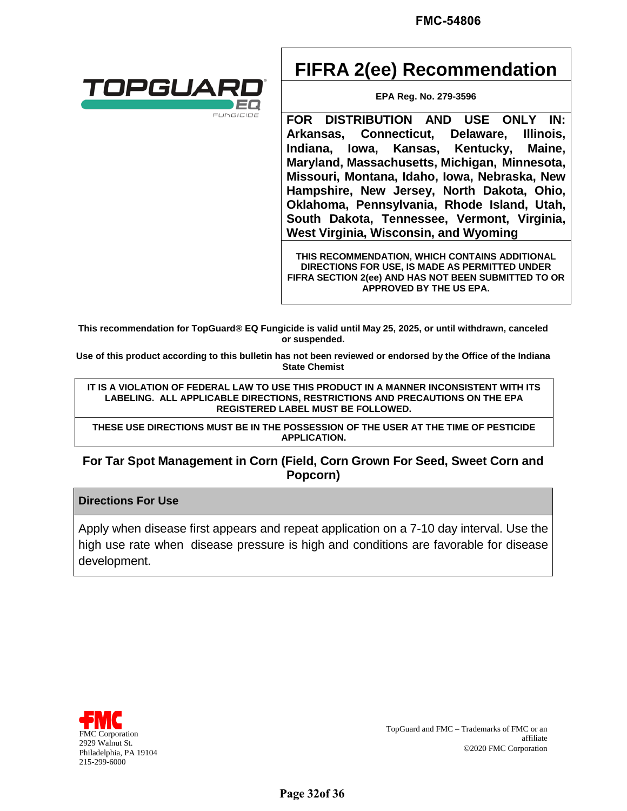

# **FIFRA 2(ee) Recommendation**

**EPA Reg. No. 279-3596** 

 **Hampshire, New Jersey, North Dakota, Ohio, Oklahoma, Pennsylvania, Rhode Island, Utah, FOR DISTRIBUTION AND USE ONLY IN: Arkansas, Connecticut, Delaware, Illinois, Indiana, Iowa, Kansas, Kentucky, Maine, Maryland, Massachusetts, Michigan, Minnesota, Missouri, Montana, Idaho, Iowa, Nebraska, New South Dakota, Tennessee, Vermont, Virginia, West Virginia, Wisconsin, and Wyoming** 

**THIS RECOMMENDATION, WHICH CONTAINS ADDITIONAL DIRECTIONS FOR USE, IS MADE AS PERMITTED UNDER FIFRA SECTION 2(ee) AND HAS NOT BEEN SUBMITTED TO OR APPROVED BY THE US EPA.** 

**This recommendation for TopGuard® EQ Fungicide is valid until May 25, 2025, or until withdrawn, canceled or suspended.** 

**State Chemist Use of this product according to this bulletin has not been reviewed or endorsed by the Office of the Indiana**

 **LABELING. ALL APPLICABLE DIRECTIONS, RESTRICTIONS AND PRECAUTIONS ON THE EPA**  IT IS A VIOLATION OF FEDERAL LAW TO USE THIS PRODUCT IN A MANNER INCONSISTENT WITH ITS **REGISTERED LABEL MUST BE FOLLOWED.** 

**THESE USE DIRECTIONS MUST BE IN THE POSSESSION OF THE USER AT THE TIME OF PESTICIDE APPLICATION.** 

# **For Tar Spot Management in Corn (Field, Corn Grown For Seed, Sweet Corn and Popcorn)**

### **Directions For Use**

 high use rate when disease pressure is high and conditions are favorable for disease Apply when disease first appears and repeat application on a 7-10 day interval. Use the development.



TopGuard and FMC - Trademarks of FMC or an TopGuard and FMC – Trademarks of FMC or an TopGuard and FMC – Trademarks of FMC or an affiliate 2929 Walnut St. 2020 FMC Corporation affiliate 2020 FMC Corporation Philadelphia, PA 19104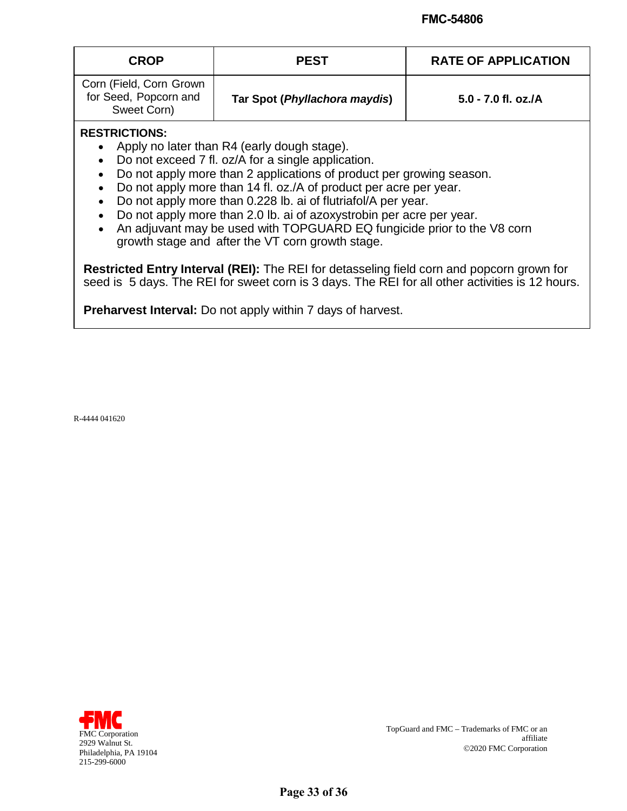| <b>CROP</b>                                                     | <b>PEST</b>                   | <b>RATE OF APPLICATION</b> |
|-----------------------------------------------------------------|-------------------------------|----------------------------|
| Corn (Field, Corn Grown<br>for Seed, Popcorn and<br>Sweet Corn) | Tar Spot (Phyllachora maydis) | 5.0 - 7.0 fl. oz./A        |

### **RESTRICTIONS:**

- Apply no later than R4 (early dough stage).
- Do not exceed 7 fl. oz/A for a single application.
- Do not apply more than 2 applications of product per growing season.
- Do not apply more than 14 fl. oz./A of product per acre per year.
- Do not apply more than 0.228 lb. ai of flutriafol/A per year.
- Do not apply more than 2.0 lb. ai of azoxystrobin per acre per year.
- • An adjuvant may be used with TOPGUARD EQ fungicide prior to the V8 corn growth stage and after the VT corn growth stage.

 **Restricted Entry Interval (REI):** The REI for detasseling field corn and popcorn grown for seed is 5 days. The REI for sweet corn is 3 days. The REI for all other activities is 12 hours.

 **Preharvest Interval:** Do not apply within 7 days of harvest.

R-4444 041620



TopGuard and FMC - Trademarks of FMC or an TopGuard and FMC – Trademarks of FMC or an TopGuard and FMC – Trademarks of FMC or an affiliate 2929 Walnut St. 2020 FMC Corporation affiliate 2020 FMC Corporation Philadelphia, PA 19104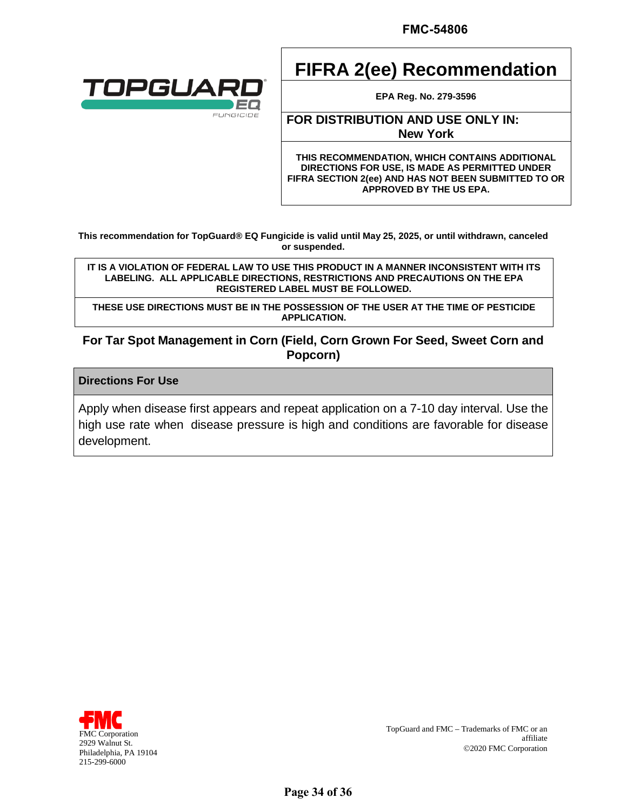

# **FIFRA 2(ee) Recommendation**

**EPA Reg. No. 279-3596** 

### **FOR DISTRIBUTION AND USE ONLY IN: New York**

**THIS RECOMMENDATION, WHICH CONTAINS ADDITIONAL DIRECTIONS FOR USE, IS MADE AS PERMITTED UNDER FIFRA SECTION 2(ee) AND HAS NOT BEEN SUBMITTED TO OR APPROVED BY THE US EPA.** 

 **This recommendation for TopGuard® EQ Fungicide is valid until May 25, 2025, or until withdrawn, canceled or suspended.** 

 **LABELING. ALL APPLICABLE DIRECTIONS, RESTRICTIONS AND PRECAUTIONS ON THE EPA IT IS A VIOLATION OF FEDERAL LAW TO USE THIS PRODUCT IN A MANNER INCONSISTENT WITH ITS REGISTERED LABEL MUST BE FOLLOWED.** 

**THESE USE DIRECTIONS MUST BE IN THE POSSESSION OF THE USER AT THE TIME OF PESTICIDE APPLICATION.** 

# **For Tar Spot Management in Corn (Field, Corn Grown For Seed, Sweet Corn and Popcorn)**

### **Directions For Use**

 high use rate when disease pressure is high and conditions are favorable for disease Apply when disease first appears and repeat application on a 7-10 day interval. Use the development.



TopGuard and  $\mathrm{FMC}-\mathrm{Trademarks}$  of  $\mathrm{FMC}$  or an TopGuard and FMC – Trademarks of FMC or an TopGuard and FMC – Trademarks of FMC or an affiliate 2929 Walnut St. 2020 FMC Corporation affiliate 2020 FMC Corporation Philadelphia, PA 19104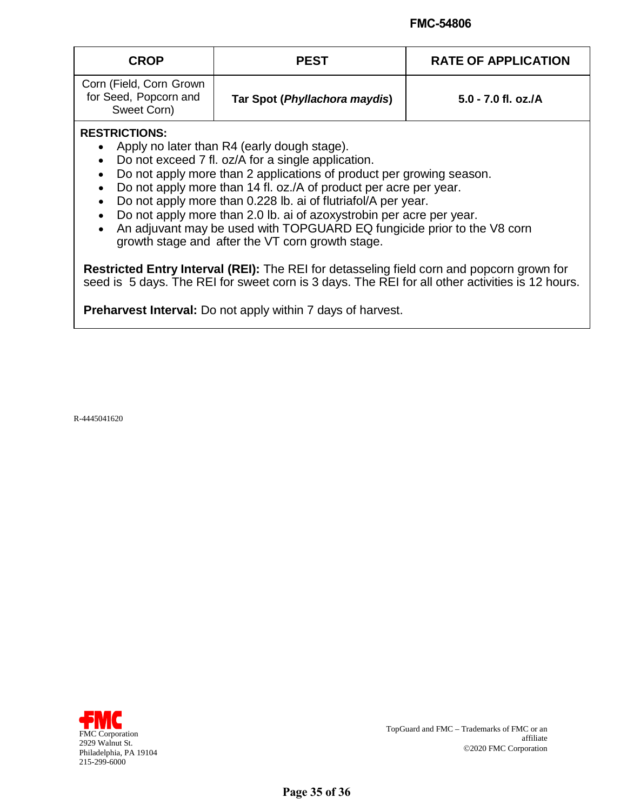| <b>CROP</b>                                                     | <b>PEST</b>                   | <b>RATE OF APPLICATION</b> |
|-----------------------------------------------------------------|-------------------------------|----------------------------|
| Corn (Field, Corn Grown<br>for Seed, Popcorn and<br>Sweet Corn) | Tar Spot (Phyllachora maydis) | $5.0 - 7.0$ fl. oz./A      |

### **RESTRICTIONS:**

- Apply no later than R4 (early dough stage).
- Do not exceed 7 fl. oz/A for a single application.
- Do not apply more than 2 applications of product per growing season.
- Do not apply more than 14 fl. oz./A of product per acre per year.
- Do not apply more than 0.228 lb. ai of flutriafol/A per year.
- Do not apply more than 2.0 lb. ai of azoxystrobin per acre per year.
- • An adjuvant may be used with TOPGUARD EQ fungicide prior to the V8 corn growth stage and after the VT corn growth stage.

 **Restricted Entry Interval (REI):** The REI for detasseling field corn and popcorn grown for seed is 5 days. The REI for sweet corn is 3 days. The REI for all other activities is 12 hours.

 **Preharvest Interval:** Do not apply within 7 days of harvest.

R-4445041620



TopGuard and FMC - Trademarks of FMC or an TopGuard and FMC – Trademarks of FMC or an TopGuard and FMC – Trademarks of FMC or an affiliate 2929 Walnut St. 2020 FMC Corporation affiliate 2020 FMC Corporation Philadelphia, PA 19104